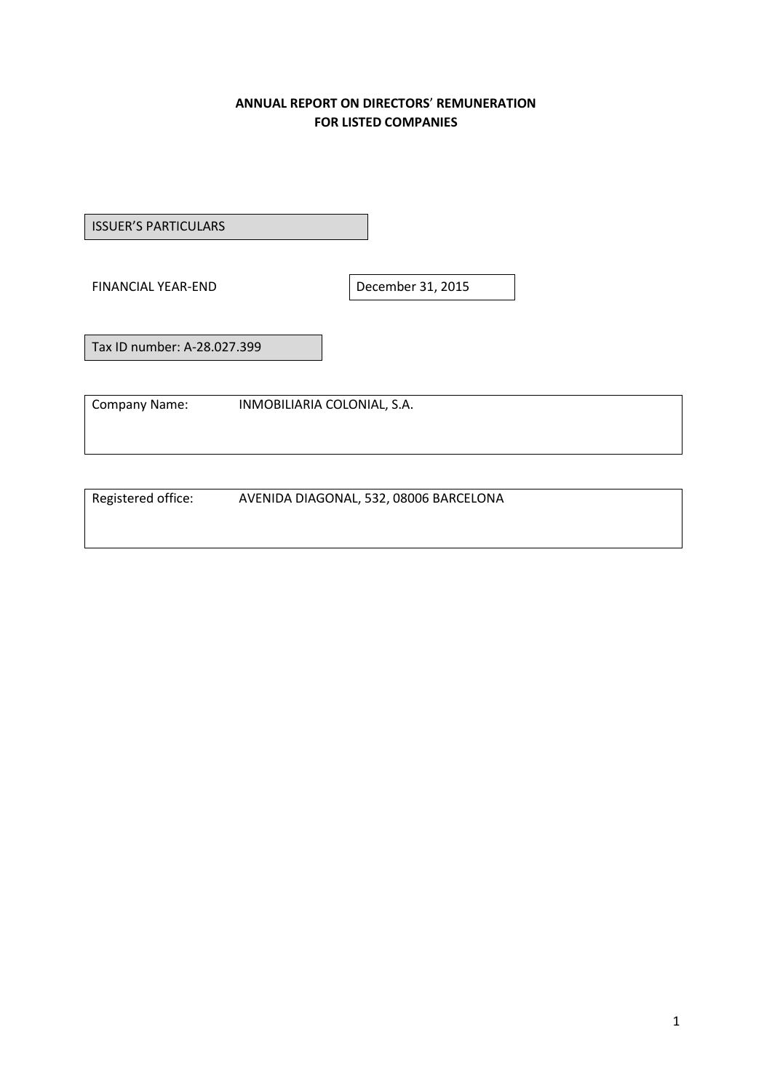## **ANNUAL REPORT ON DIRECTORS**' **REMUNERATION FOR LISTED COMPANIES**

ISSUER'S PARTICULARS

FINANCIAL YEAR-END December 31, 2015

Tax ID number: A-28.027.399

Company Name: INMOBILIARIA COLONIAL, S.A.

Registered office: AVENIDA DIAGONAL, 532, 08006 BARCELONA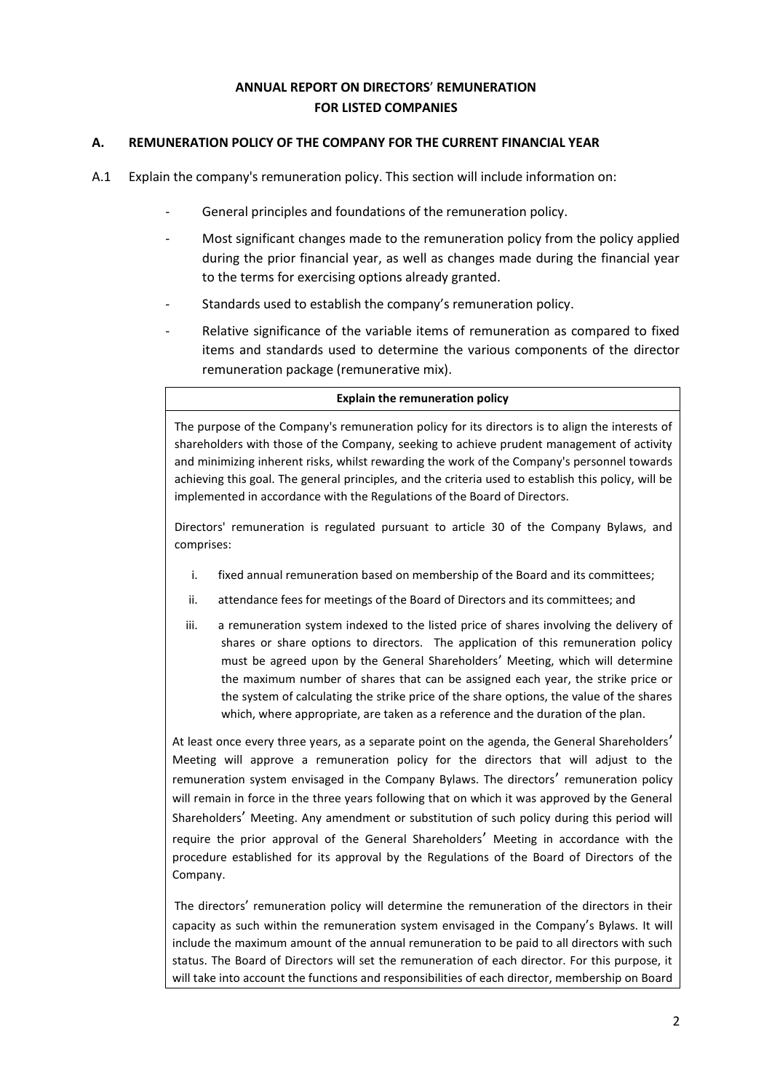## **ANNUAL REPORT ON DIRECTORS**' **REMUNERATION FOR LISTED COMPANIES**

### **A. REMUNERATION POLICY OF THE COMPANY FOR THE CURRENT FINANCIAL YEAR**

- A.1 Explain the company's remuneration policy. This section will include information on:
	- General principles and foundations of the remuneration policy.
	- Most significant changes made to the remuneration policy from the policy applied during the prior financial year, as well as changes made during the financial year to the terms for exercising options already granted.
	- Standards used to establish the company's remuneration policy.
	- Relative significance of the variable items of remuneration as compared to fixed items and standards used to determine the various components of the director remuneration package (remunerative mix).

#### **Explain the remuneration policy**

The purpose of the Company's remuneration policy for its directors is to align the interests of shareholders with those of the Company, seeking to achieve prudent management of activity and minimizing inherent risks, whilst rewarding the work of the Company's personnel towards achieving this goal. The general principles, and the criteria used to establish this policy, will be implemented in accordance with the Regulations of the Board of Directors.

Directors' remuneration is regulated pursuant to article 30 of the Company Bylaws, and comprises:

- i. fixed annual remuneration based on membership of the Board and its committees;
- ii. attendance fees for meetings of the Board of Directors and its committees; and
- iii. a remuneration system indexed to the listed price of shares involving the delivery of shares or share options to directors. The application of this remuneration policy must be agreed upon by the General Shareholders' Meeting, which will determine the maximum number of shares that can be assigned each year, the strike price or the system of calculating the strike price of the share options, the value of the shares which, where appropriate, are taken as a reference and the duration of the plan.

At least once every three years, as a separate point on the agenda, the General Shareholders' Meeting will approve a remuneration policy for the directors that will adjust to the remuneration system envisaged in the Company Bylaws. The directors' remuneration policy will remain in force in the three years following that on which it was approved by the General Shareholders' Meeting. Any amendment or substitution of such policy during this period will require the prior approval of the General Shareholders' Meeting in accordance with the procedure established for its approval by the Regulations of the Board of Directors of the Company.

The directors' remuneration policy will determine the remuneration of the directors in their capacity as such within the remuneration system envisaged in the Company's Bylaws. It will include the maximum amount of the annual remuneration to be paid to all directors with such status. The Board of Directors will set the remuneration of each director. For this purpose, it will take into account the functions and responsibilities of each director, membership on Board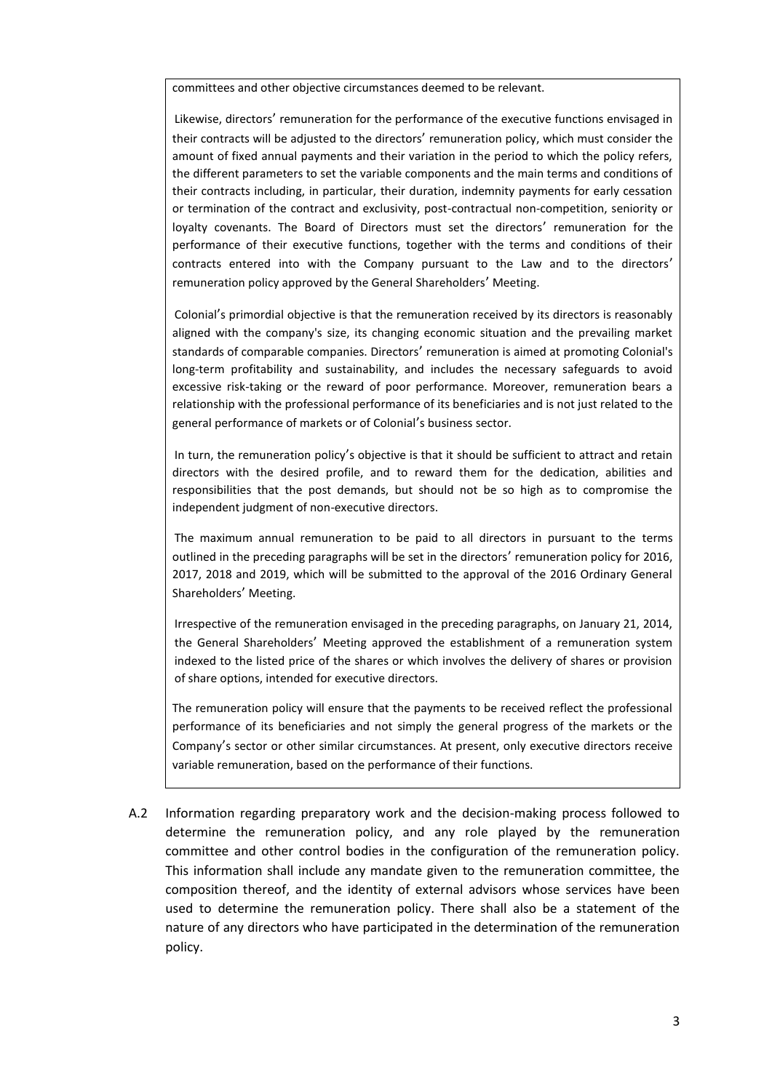committees and other objective circumstances deemed to be relevant.

Likewise, directors' remuneration for the performance of the executive functions envisaged in their contracts will be adjusted to the directors' remuneration policy, which must consider the amount of fixed annual payments and their variation in the period to which the policy refers, the different parameters to set the variable components and the main terms and conditions of their contracts including, in particular, their duration, indemnity payments for early cessation or termination of the contract and exclusivity, post-contractual non-competition, seniority or loyalty covenants. The Board of Directors must set the directors' remuneration for the performance of their executive functions, together with the terms and conditions of their contracts entered into with the Company pursuant to the Law and to the directors' remuneration policy approved by the General Shareholders' Meeting.

Colonial's primordial objective is that the remuneration received by its directors is reasonably aligned with the company's size, its changing economic situation and the prevailing market standards of comparable companies. Directors' remuneration is aimed at promoting Colonial's long-term profitability and sustainability, and includes the necessary safeguards to avoid excessive risk-taking or the reward of poor performance. Moreover, remuneration bears a relationship with the professional performance of its beneficiaries and is not just related to the general performance of markets or of Colonial's business sector.

In turn, the remuneration policy's objective is that it should be sufficient to attract and retain directors with the desired profile, and to reward them for the dedication, abilities and responsibilities that the post demands, but should not be so high as to compromise the independent judgment of non-executive directors.

The maximum annual remuneration to be paid to all directors in pursuant to the terms outlined in the preceding paragraphs will be set in the directors' remuneration policy for 2016, 2017, 2018 and 2019, which will be submitted to the approval of the 2016 Ordinary General Shareholders' Meeting.

Irrespective of the remuneration envisaged in the preceding paragraphs, on January 21, 2014, the General Shareholders' Meeting approved the establishment of a remuneration system indexed to the listed price of the shares or which involves the delivery of shares or provision of share options, intended for executive directors.

The remuneration policy will ensure that the payments to be received reflect the professional performance of its beneficiaries and not simply the general progress of the markets or the Company's sector or other similar circumstances. At present, only executive directors receive variable remuneration, based on the performance of their functions.

A.2 Information regarding preparatory work and the decision-making process followed to determine the remuneration policy, and any role played by the remuneration committee and other control bodies in the configuration of the remuneration policy. This information shall include any mandate given to the remuneration committee, the composition thereof, and the identity of external advisors whose services have been used to determine the remuneration policy. There shall also be a statement of the nature of any directors who have participated in the determination of the remuneration policy.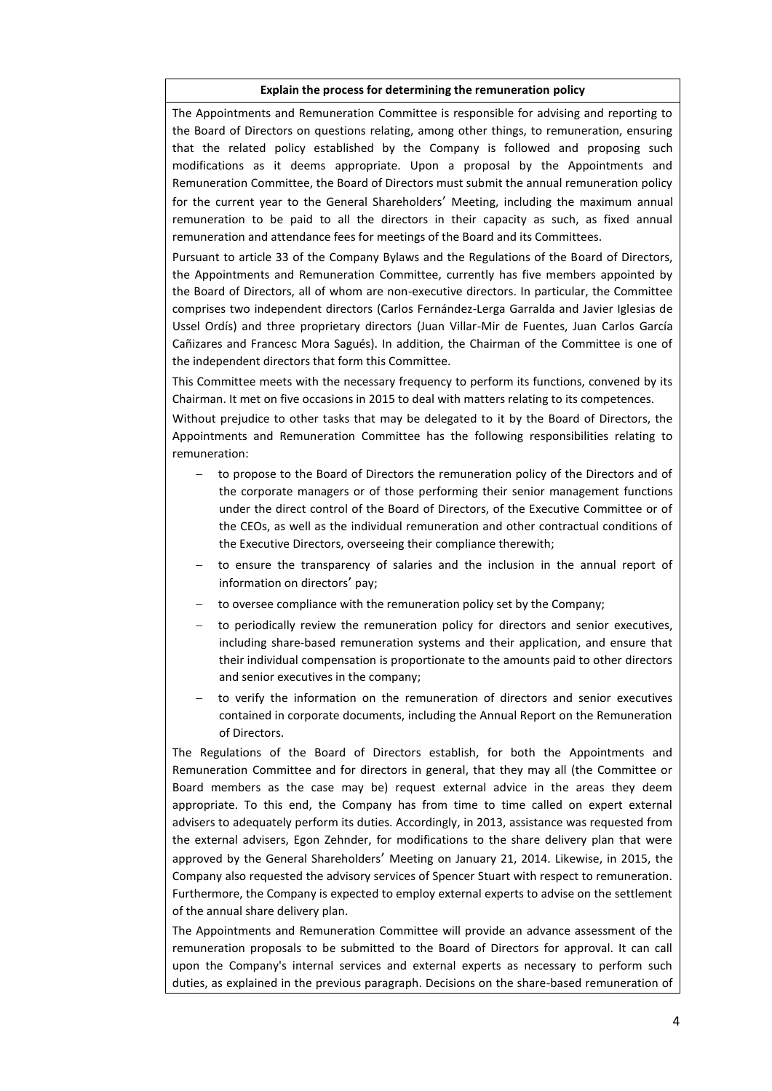#### **Explain the process for determining the remuneration policy**

The Appointments and Remuneration Committee is responsible for advising and reporting to the Board of Directors on questions relating, among other things, to remuneration, ensuring that the related policy established by the Company is followed and proposing such modifications as it deems appropriate. Upon a proposal by the Appointments and Remuneration Committee, the Board of Directors must submit the annual remuneration policy for the current year to the General Shareholders' Meeting, including the maximum annual remuneration to be paid to all the directors in their capacity as such, as fixed annual remuneration and attendance fees for meetings of the Board and its Committees.

Pursuant to article 33 of the Company Bylaws and the Regulations of the Board of Directors, the Appointments and Remuneration Committee, currently has five members appointed by the Board of Directors, all of whom are non-executive directors. In particular, the Committee comprises two independent directors (Carlos Fernández-Lerga Garralda and Javier Iglesias de Ussel Ordís) and three proprietary directors (Juan Villar-Mir de Fuentes, Juan Carlos García Cañizares and Francesc Mora Sagués). In addition, the Chairman of the Committee is one of the independent directors that form this Committee.

This Committee meets with the necessary frequency to perform its functions, convened by its Chairman. It met on five occasions in 2015 to deal with matters relating to its competences.

Without prejudice to other tasks that may be delegated to it by the Board of Directors, the Appointments and Remuneration Committee has the following responsibilities relating to remuneration:

- to propose to the Board of Directors the remuneration policy of the Directors and of the corporate managers or of those performing their senior management functions under the direct control of the Board of Directors, of the Executive Committee or of the CEOs, as well as the individual remuneration and other contractual conditions of the Executive Directors, overseeing their compliance therewith;
- to ensure the transparency of salaries and the inclusion in the annual report of information on directors' pay;
- to oversee compliance with the remuneration policy set by the Company;
- to periodically review the remuneration policy for directors and senior executives, including share-based remuneration systems and their application, and ensure that their individual compensation is proportionate to the amounts paid to other directors and senior executives in the company;
- to verify the information on the remuneration of directors and senior executives contained in corporate documents, including the Annual Report on the Remuneration of Directors.

The Regulations of the Board of Directors establish, for both the Appointments and Remuneration Committee and for directors in general, that they may all (the Committee or Board members as the case may be) request external advice in the areas they deem appropriate. To this end, the Company has from time to time called on expert external advisers to adequately perform its duties. Accordingly, in 2013, assistance was requested from the external advisers, Egon Zehnder, for modifications to the share delivery plan that were approved by the General Shareholders' Meeting on January 21, 2014. Likewise, in 2015, the Company also requested the advisory services of Spencer Stuart with respect to remuneration. Furthermore, the Company is expected to employ external experts to advise on the settlement of the annual share delivery plan.

The Appointments and Remuneration Committee will provide an advance assessment of the remuneration proposals to be submitted to the Board of Directors for approval. It can call upon the Company's internal services and external experts as necessary to perform such duties, as explained in the previous paragraph. Decisions on the share-based remuneration of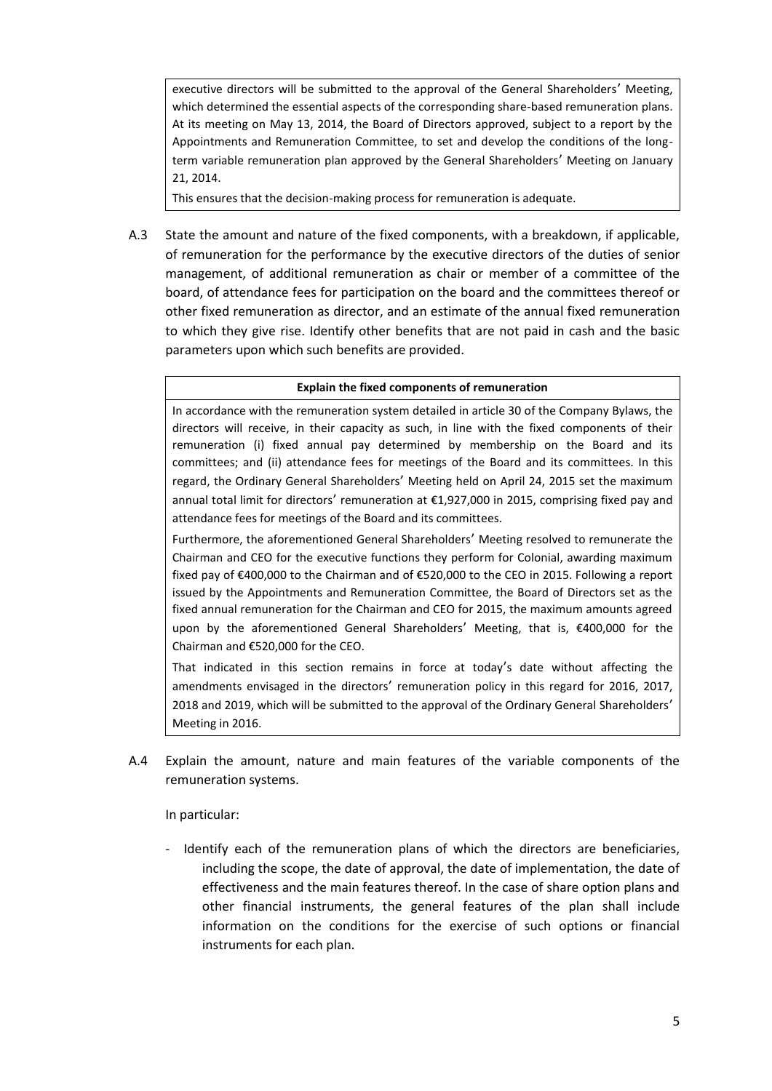executive directors will be submitted to the approval of the General Shareholders' Meeting, which determined the essential aspects of the corresponding share-based remuneration plans. At its meeting on May 13, 2014, the Board of Directors approved, subject to a report by the Appointments and Remuneration Committee, to set and develop the conditions of the longterm variable remuneration plan approved by the General Shareholders' Meeting on January 21, 2014.

This ensures that the decision-making process for remuneration is adequate.

A.3 State the amount and nature of the fixed components, with a breakdown, if applicable, of remuneration for the performance by the executive directors of the duties of senior management, of additional remuneration as chair or member of a committee of the board, of attendance fees for participation on the board and the committees thereof or other fixed remuneration as director, and an estimate of the annual fixed remuneration to which they give rise. Identify other benefits that are not paid in cash and the basic parameters upon which such benefits are provided.

#### **Explain the fixed components of remuneration**

In accordance with the remuneration system detailed in article 30 of the Company Bylaws, the directors will receive, in their capacity as such, in line with the fixed components of their remuneration (i) fixed annual pay determined by membership on the Board and its committees; and (ii) attendance fees for meetings of the Board and its committees. In this regard, the Ordinary General Shareholders' Meeting held on April 24, 2015 set the maximum annual total limit for directors' remuneration at €1,927,000 in 2015, comprising fixed pay and attendance fees for meetings of the Board and its committees.

Furthermore, the aforementioned General Shareholders' Meeting resolved to remunerate the Chairman and CEO for the executive functions they perform for Colonial, awarding maximum fixed pay of €400,000 to the Chairman and of €520,000 to the CEO in 2015. Following a report issued by the Appointments and Remuneration Committee, the Board of Directors set as the fixed annual remuneration for the Chairman and CEO for 2015, the maximum amounts agreed upon by the aforementioned General Shareholders' Meeting, that is, €400,000 for the Chairman and €520,000 for the CEO.

That indicated in this section remains in force at today's date without affecting the amendments envisaged in the directors' remuneration policy in this regard for 2016, 2017, 2018 and 2019, which will be submitted to the approval of the Ordinary General Shareholders' Meeting in 2016.

A.4 Explain the amount, nature and main features of the variable components of the remuneration systems.

### In particular:

Identify each of the remuneration plans of which the directors are beneficiaries, including the scope, the date of approval, the date of implementation, the date of effectiveness and the main features thereof. In the case of share option plans and other financial instruments, the general features of the plan shall include information on the conditions for the exercise of such options or financial instruments for each plan.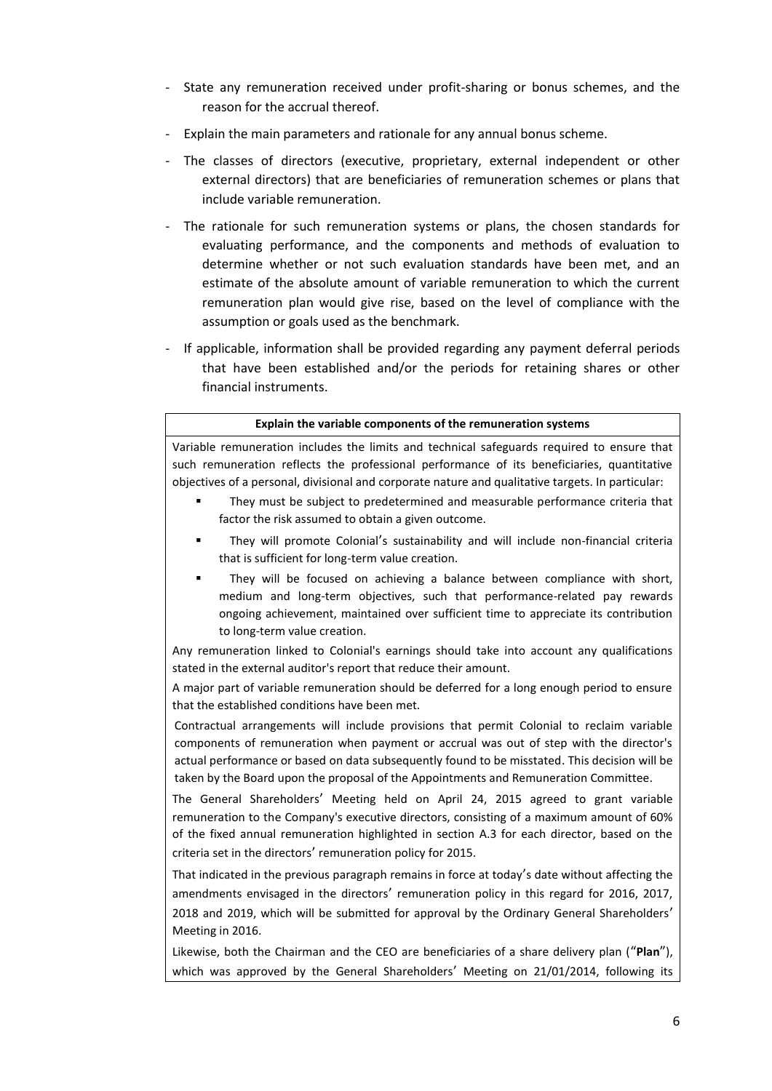- State any remuneration received under profit-sharing or bonus schemes, and the reason for the accrual thereof.
- Explain the main parameters and rationale for any annual bonus scheme.
- The classes of directors (executive, proprietary, external independent or other external directors) that are beneficiaries of remuneration schemes or plans that include variable remuneration.
- The rationale for such remuneration systems or plans, the chosen standards for evaluating performance, and the components and methods of evaluation to determine whether or not such evaluation standards have been met, and an estimate of the absolute amount of variable remuneration to which the current remuneration plan would give rise, based on the level of compliance with the assumption or goals used as the benchmark.
- If applicable, information shall be provided regarding any payment deferral periods that have been established and/or the periods for retaining shares or other financial instruments.

#### **Explain the variable components of the remuneration systems**

Variable remuneration includes the limits and technical safeguards required to ensure that such remuneration reflects the professional performance of its beneficiaries, quantitative objectives of a personal, divisional and corporate nature and qualitative targets. In particular:

- They must be subject to predetermined and measurable performance criteria that factor the risk assumed to obtain a given outcome.
- They will promote Colonial's sustainability and will include non-financial criteria that is sufficient for long-term value creation.
- They will be focused on achieving a balance between compliance with short, medium and long-term objectives, such that performance-related pay rewards ongoing achievement, maintained over sufficient time to appreciate its contribution to long-term value creation.

Any remuneration linked to Colonial's earnings should take into account any qualifications stated in the external auditor's report that reduce their amount.

A major part of variable remuneration should be deferred for a long enough period to ensure that the established conditions have been met.

Contractual arrangements will include provisions that permit Colonial to reclaim variable components of remuneration when payment or accrual was out of step with the director's actual performance or based on data subsequently found to be misstated. This decision will be taken by the Board upon the proposal of the Appointments and Remuneration Committee.

The General Shareholders' Meeting held on April 24, 2015 agreed to grant variable remuneration to the Company's executive directors, consisting of a maximum amount of 60% of the fixed annual remuneration highlighted in section A.3 for each director, based on the criteria set in the directors' remuneration policy for 2015.

That indicated in the previous paragraph remains in force at today's date without affecting the amendments envisaged in the directors' remuneration policy in this regard for 2016, 2017, 2018 and 2019, which will be submitted for approval by the Ordinary General Shareholders' Meeting in 2016.

Likewise, both the Chairman and the CEO are beneficiaries of a share delivery plan ("**Plan**"), which was approved by the General Shareholders' Meeting on 21/01/2014, following its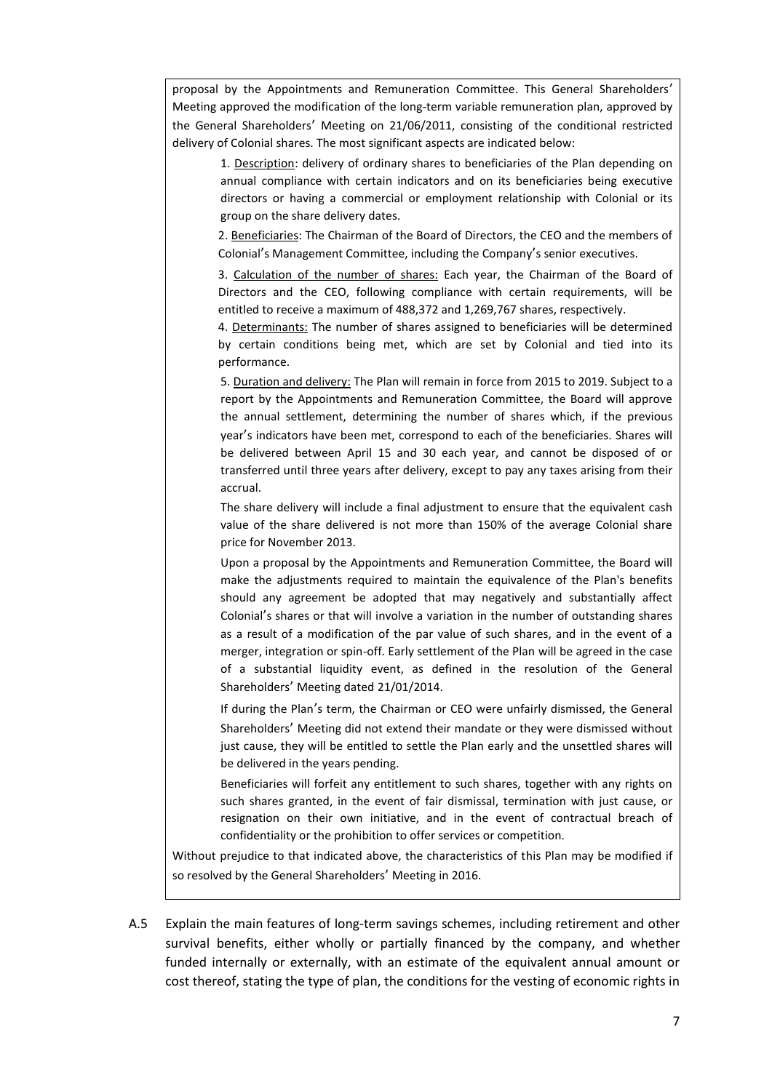proposal by the Appointments and Remuneration Committee. This General Shareholders' Meeting approved the modification of the long-term variable remuneration plan, approved by the General Shareholders' Meeting on 21/06/2011, consisting of the conditional restricted delivery of Colonial shares. The most significant aspects are indicated below:

1. Description: delivery of ordinary shares to beneficiaries of the Plan depending on annual compliance with certain indicators and on its beneficiaries being executive directors or having a commercial or employment relationship with Colonial or its group on the share delivery dates.

2. Beneficiaries: The Chairman of the Board of Directors, the CEO and the members of Colonial's Management Committee, including the Company's senior executives.

3. Calculation of the number of shares: Each year, the Chairman of the Board of Directors and the CEO, following compliance with certain requirements, will be entitled to receive a maximum of 488,372 and 1,269,767 shares, respectively.

4. Determinants: The number of shares assigned to beneficiaries will be determined by certain conditions being met, which are set by Colonial and tied into its performance.

5. Duration and delivery: The Plan will remain in force from 2015 to 2019. Subject to a report by the Appointments and Remuneration Committee, the Board will approve the annual settlement, determining the number of shares which, if the previous year's indicators have been met, correspond to each of the beneficiaries. Shares will be delivered between April 15 and 30 each year, and cannot be disposed of or transferred until three years after delivery, except to pay any taxes arising from their accrual.

The share delivery will include a final adjustment to ensure that the equivalent cash value of the share delivered is not more than 150% of the average Colonial share price for November 2013.

Upon a proposal by the Appointments and Remuneration Committee, the Board will make the adjustments required to maintain the equivalence of the Plan's benefits should any agreement be adopted that may negatively and substantially affect Colonial's shares or that will involve a variation in the number of outstanding shares as a result of a modification of the par value of such shares, and in the event of a merger, integration or spin-off. Early settlement of the Plan will be agreed in the case of a substantial liquidity event, as defined in the resolution of the General Shareholders' Meeting dated 21/01/2014.

If during the Plan's term, the Chairman or CEO were unfairly dismissed, the General Shareholders' Meeting did not extend their mandate or they were dismissed without just cause, they will be entitled to settle the Plan early and the unsettled shares will be delivered in the years pending.

Beneficiaries will forfeit any entitlement to such shares, together with any rights on such shares granted, in the event of fair dismissal, termination with just cause, or resignation on their own initiative, and in the event of contractual breach of confidentiality or the prohibition to offer services or competition.

Without prejudice to that indicated above, the characteristics of this Plan may be modified if so resolved by the General Shareholders' Meeting in 2016.

A.5 Explain the main features of long-term savings schemes, including retirement and other survival benefits, either wholly or partially financed by the company, and whether funded internally or externally, with an estimate of the equivalent annual amount or cost thereof, stating the type of plan, the conditions for the vesting of economic rights in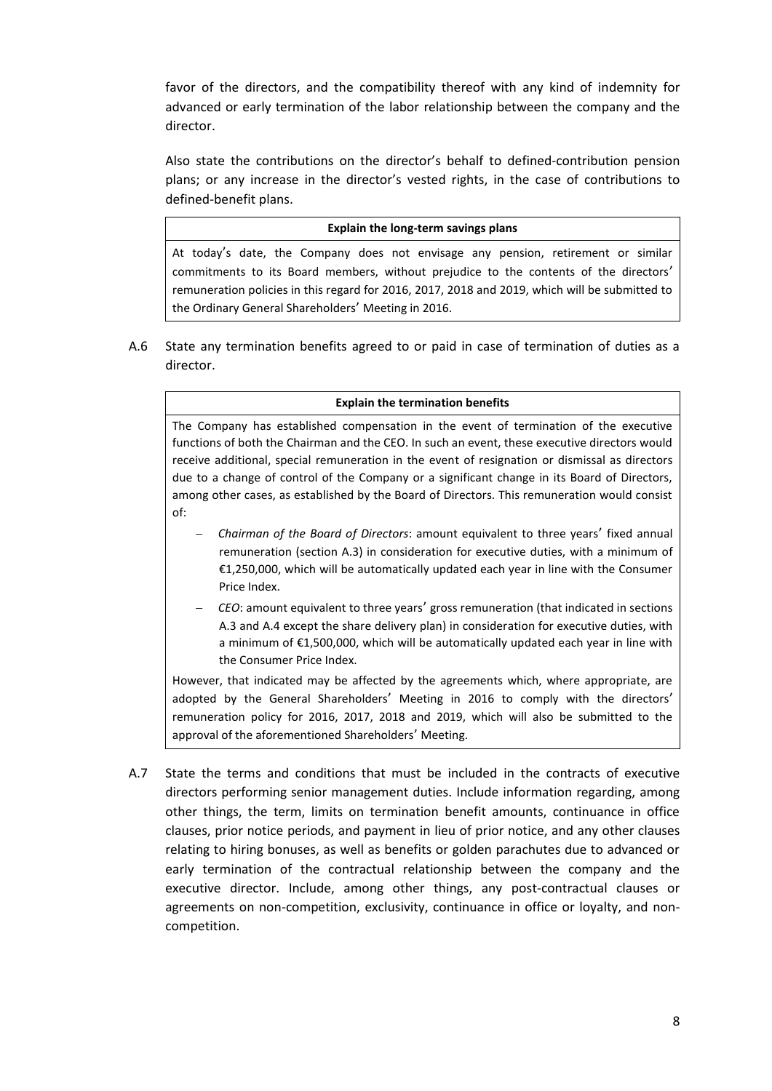favor of the directors, and the compatibility thereof with any kind of indemnity for advanced or early termination of the labor relationship between the company and the director.

Also state the contributions on the director's behalf to defined-contribution pension plans; or any increase in the director's vested rights, in the case of contributions to defined-benefit plans.

#### **Explain the long-term savings plans**

At today's date, the Company does not envisage any pension, retirement or similar commitments to its Board members, without prejudice to the contents of the directors' remuneration policies in this regard for 2016, 2017, 2018 and 2019, which will be submitted to the Ordinary General Shareholders' Meeting in 2016.

A.6 State any termination benefits agreed to or paid in case of termination of duties as a director.

#### **Explain the termination benefits**

The Company has established compensation in the event of termination of the executive functions of both the Chairman and the CEO. In such an event, these executive directors would receive additional, special remuneration in the event of resignation or dismissal as directors due to a change of control of the Company or a significant change in its Board of Directors, among other cases, as established by the Board of Directors. This remuneration would consist of:

- *Chairman of the Board of Directors*: amount equivalent to three years' fixed annual remuneration (section A.3) in consideration for executive duties, with a minimum of €1,250,000, which will be automatically updated each year in line with the Consumer Price Index.
- *CEO*: amount equivalent to three years' gross remuneration (that indicated in sections A.3 and A.4 except the share delivery plan) in consideration for executive duties, with a minimum of €1,500,000, which will be automatically updated each year in line with the Consumer Price Index.

However, that indicated may be affected by the agreements which, where appropriate, are adopted by the General Shareholders' Meeting in 2016 to comply with the directors' remuneration policy for 2016, 2017, 2018 and 2019, which will also be submitted to the approval of the aforementioned Shareholders' Meeting.

A.7 State the terms and conditions that must be included in the contracts of executive directors performing senior management duties. Include information regarding, among other things, the term, limits on termination benefit amounts, continuance in office clauses, prior notice periods, and payment in lieu of prior notice, and any other clauses relating to hiring bonuses, as well as benefits or golden parachutes due to advanced or early termination of the contractual relationship between the company and the executive director. Include, among other things, any post-contractual clauses or agreements on non-competition, exclusivity, continuance in office or loyalty, and noncompetition.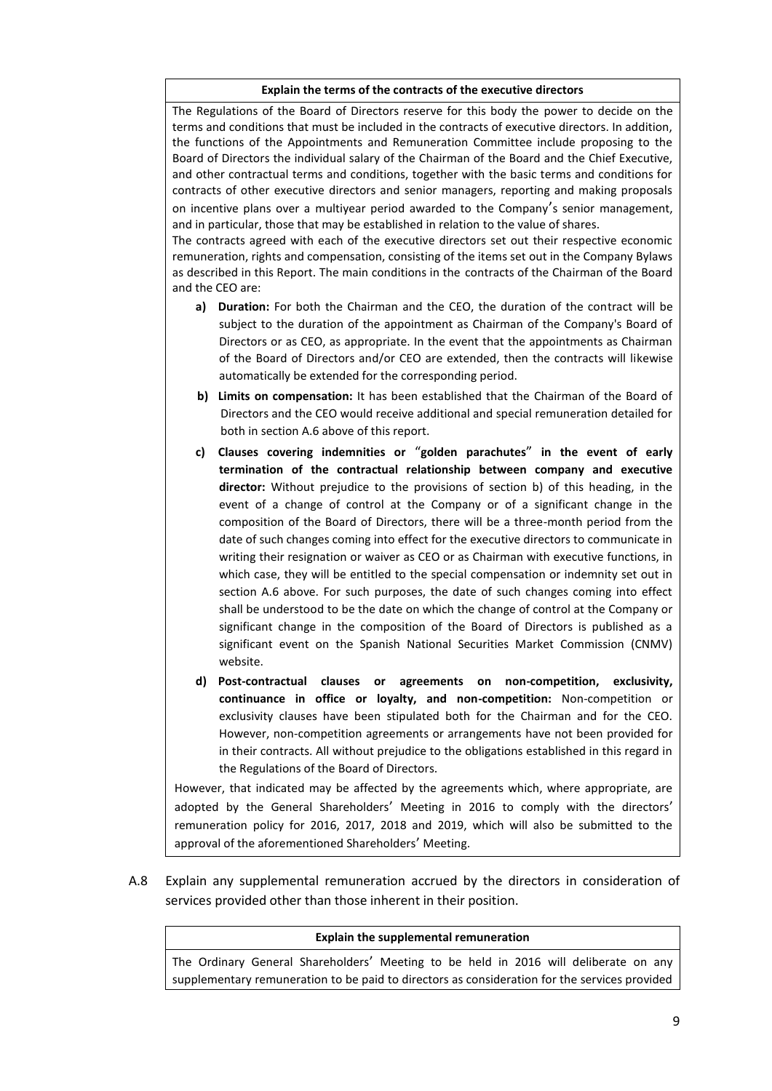#### **Explain the terms of the contracts of the executive directors**

The Regulations of the Board of Directors reserve for this body the power to decide on the terms and conditions that must be included in the contracts of executive directors. In addition, the functions of the Appointments and Remuneration Committee include proposing to the Board of Directors the individual salary of the Chairman of the Board and the Chief Executive, and other contractual terms and conditions, together with the basic terms and conditions for contracts of other executive directors and senior managers, reporting and making proposals on incentive plans over a multiyear period awarded to the Company's senior management, and in particular, those that may be established in relation to the value of shares.

The contracts agreed with each of the executive directors set out their respective economic remuneration, rights and compensation, consisting of the items set out in the Company Bylaws as described in this Report. The main conditions in the contracts of the Chairman of the Board and the CEO are:

- **a) Duration:** For both the Chairman and the CEO, the duration of the contract will be subject to the duration of the appointment as Chairman of the Company's Board of Directors or as CEO, as appropriate. In the event that the appointments as Chairman of the Board of Directors and/or CEO are extended, then the contracts will likewise automatically be extended for the corresponding period.
- **b) Limits on compensation:** It has been established that the Chairman of the Board of Directors and the CEO would receive additional and special remuneration detailed for both in section A.6 above of this report.
- **c) Clauses covering indemnities or** "**golden parachutes**" **in the event of early termination of the contractual relationship between company and executive director:** Without prejudice to the provisions of section b) of this heading, in the event of a change of control at the Company or of a significant change in the composition of the Board of Directors, there will be a three-month period from the date of such changes coming into effect for the executive directors to communicate in writing their resignation or waiver as CEO or as Chairman with executive functions, in which case, they will be entitled to the special compensation or indemnity set out in section A.6 above. For such purposes, the date of such changes coming into effect shall be understood to be the date on which the change of control at the Company or significant change in the composition of the Board of Directors is published as a significant event on the Spanish National Securities Market Commission (CNMV) website.
- **d) Post-contractual clauses or agreements on non-competition, exclusivity, continuance in office or loyalty, and non-competition:** Non-competition or exclusivity clauses have been stipulated both for the Chairman and for the CEO. However, non-competition agreements or arrangements have not been provided for in their contracts. All without prejudice to the obligations established in this regard in the Regulations of the Board of Directors.

However, that indicated may be affected by the agreements which, where appropriate, are adopted by the General Shareholders' Meeting in 2016 to comply with the directors' remuneration policy for 2016, 2017, 2018 and 2019, which will also be submitted to the approval of the aforementioned Shareholders' Meeting.

A.8 Explain any supplemental remuneration accrued by the directors in consideration of services provided other than those inherent in their position.

#### **Explain the supplemental remuneration**

The Ordinary General Shareholders' Meeting to be held in 2016 will deliberate on any supplementary remuneration to be paid to directors as consideration for the services provided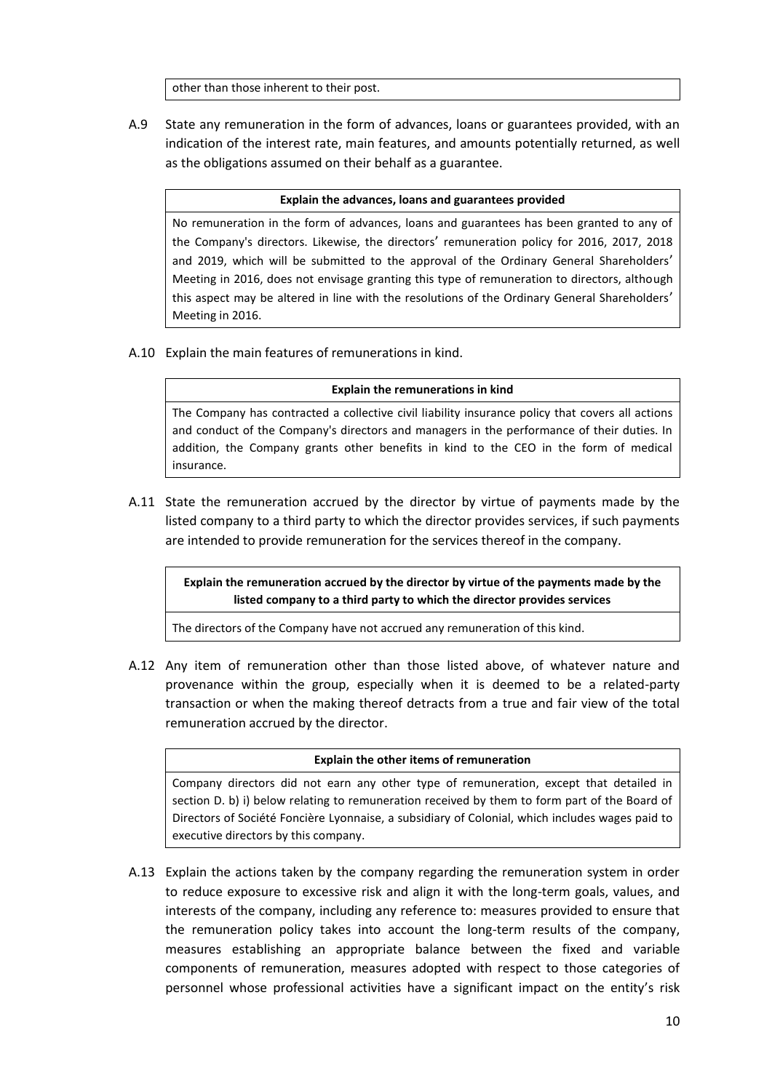other than those inherent to their post.

A.9 State any remuneration in the form of advances, loans or guarantees provided, with an indication of the interest rate, main features, and amounts potentially returned, as well as the obligations assumed on their behalf as a guarantee.

#### **Explain the advances, loans and guarantees provided**

No remuneration in the form of advances, loans and guarantees has been granted to any of the Company's directors. Likewise, the directors' remuneration policy for 2016, 2017, 2018 and 2019, which will be submitted to the approval of the Ordinary General Shareholders' Meeting in 2016, does not envisage granting this type of remuneration to directors, although this aspect may be altered in line with the resolutions of the Ordinary General Shareholders' Meeting in 2016.

A.10 Explain the main features of remunerations in kind.

#### **Explain the remunerations in kind**

The Company has contracted a collective civil liability insurance policy that covers all actions and conduct of the Company's directors and managers in the performance of their duties. In addition, the Company grants other benefits in kind to the CEO in the form of medical insurance.

A.11 State the remuneration accrued by the director by virtue of payments made by the listed company to a third party to which the director provides services, if such payments are intended to provide remuneration for the services thereof in the company.

**Explain the remuneration accrued by the director by virtue of the payments made by the listed company to a third party to which the director provides services**

The directors of the Company have not accrued any remuneration of this kind.

A.12 Any item of remuneration other than those listed above, of whatever nature and provenance within the group, especially when it is deemed to be a related-party transaction or when the making thereof detracts from a true and fair view of the total remuneration accrued by the director.

#### **Explain the other items of remuneration**

Company directors did not earn any other type of remuneration, except that detailed in section D. b) i) below relating to remuneration received by them to form part of the Board of Directors of Société Foncière Lyonnaise, a subsidiary of Colonial, which includes wages paid to executive directors by this company.

A.13 Explain the actions taken by the company regarding the remuneration system in order to reduce exposure to excessive risk and align it with the long-term goals, values, and interests of the company, including any reference to: measures provided to ensure that the remuneration policy takes into account the long-term results of the company, measures establishing an appropriate balance between the fixed and variable components of remuneration, measures adopted with respect to those categories of personnel whose professional activities have a significant impact on the entity's risk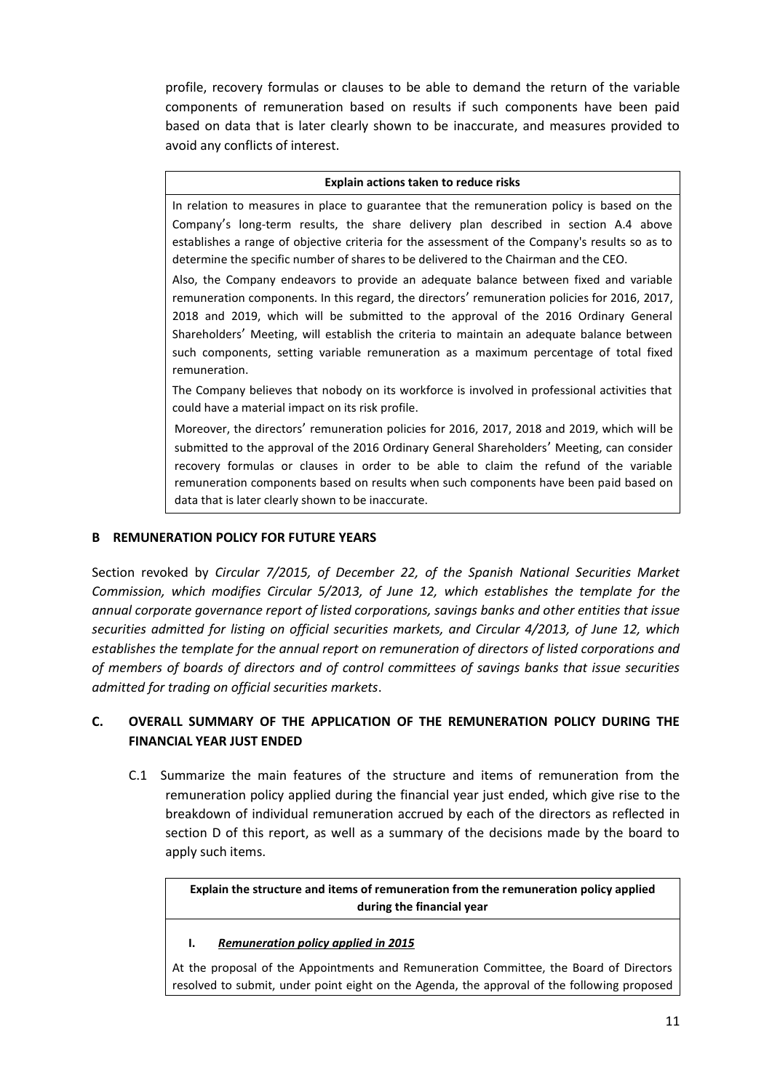profile, recovery formulas or clauses to be able to demand the return of the variable components of remuneration based on results if such components have been paid based on data that is later clearly shown to be inaccurate, and measures provided to avoid any conflicts of interest.

#### **Explain actions taken to reduce risks**

In relation to measures in place to guarantee that the remuneration policy is based on the Company's long-term results, the share delivery plan described in section A.4 above establishes a range of objective criteria for the assessment of the Company's results so as to determine the specific number of shares to be delivered to the Chairman and the CEO.

Also, the Company endeavors to provide an adequate balance between fixed and variable remuneration components. In this regard, the directors' remuneration policies for 2016, 2017, 2018 and 2019, which will be submitted to the approval of the 2016 Ordinary General Shareholders' Meeting, will establish the criteria to maintain an adequate balance between such components, setting variable remuneration as a maximum percentage of total fixed remuneration.

The Company believes that nobody on its workforce is involved in professional activities that could have a material impact on its risk profile.

Moreover, the directors' remuneration policies for 2016, 2017, 2018 and 2019, which will be submitted to the approval of the 2016 Ordinary General Shareholders' Meeting, can consider recovery formulas or clauses in order to be able to claim the refund of the variable remuneration components based on results when such components have been paid based on data that is later clearly shown to be inaccurate.

### **B REMUNERATION POLICY FOR FUTURE YEARS**

Section revoked by *Circular 7/2015, of December 22, of the Spanish National Securities Market Commission, which modifies Circular 5/2013, of June 12, which establishes the template for the annual corporate governance report of listed corporations, savings banks and other entities that issue securities admitted for listing on official securities markets, and Circular 4/2013, of June 12, which establishes the template for the annual report on remuneration of directors of listed corporations and of members of boards of directors and of control committees of savings banks that issue securities admitted for trading on official securities markets*.

## **C. OVERALL SUMMARY OF THE APPLICATION OF THE REMUNERATION POLICY DURING THE FINANCIAL YEAR JUST ENDED**

C.1 Summarize the main features of the structure and items of remuneration from the remuneration policy applied during the financial year just ended, which give rise to the breakdown of individual remuneration accrued by each of the directors as reflected in section D of this report, as well as a summary of the decisions made by the board to apply such items.

> **Explain the structure and items of remuneration from the remuneration policy applied during the financial year**

### **I.** *Remuneration policy applied in 2015*

At the proposal of the Appointments and Remuneration Committee, the Board of Directors resolved to submit, under point eight on the Agenda, the approval of the following proposed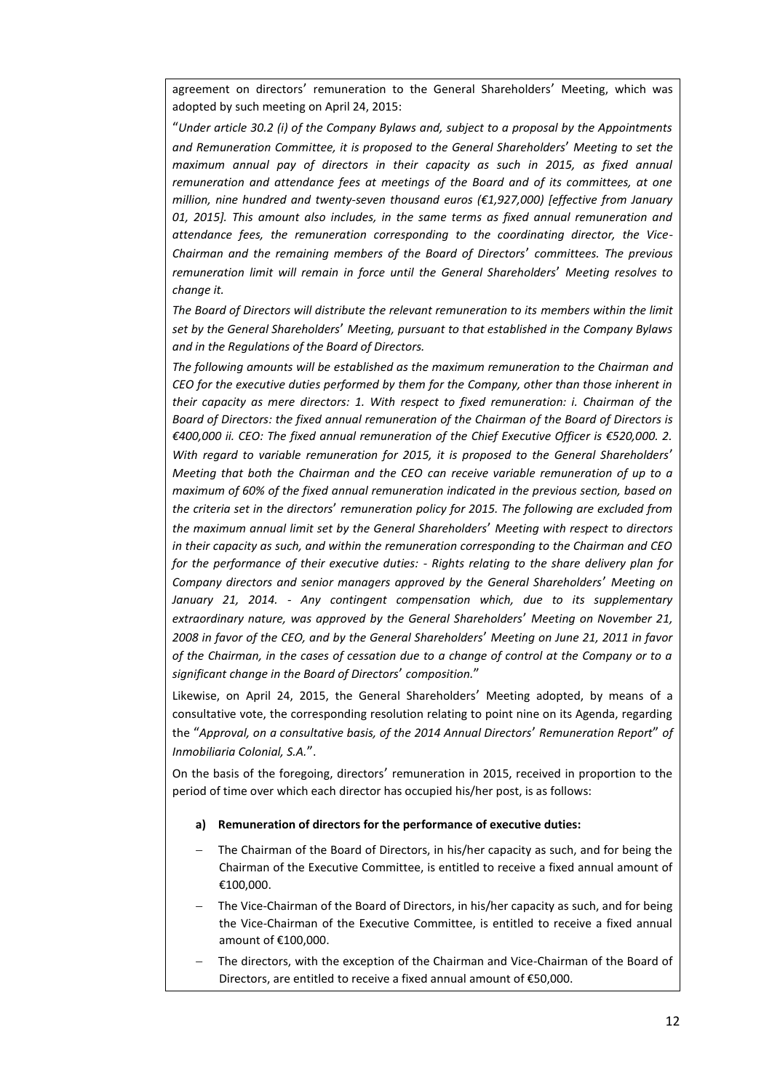agreement on directors' remuneration to the General Shareholders' Meeting, which was adopted by such meeting on April 24, 2015:

"*Under article 30.2 (i) of the Company Bylaws and, subject to a proposal by the Appointments and Remuneration Committee, it is proposed to the General Shareholders*' *Meeting to set the maximum annual pay of directors in their capacity as such in 2015, as fixed annual remuneration and attendance fees at meetings of the Board and of its committees, at one million, nine hundred and twenty-seven thousand euros (€1,927,000) [effective from January 01, 2015]. This amount also includes, in the same terms as fixed annual remuneration and attendance fees, the remuneration corresponding to the coordinating director, the Vice-Chairman and the remaining members of the Board of Directors*' *committees. The previous remuneration limit will remain in force until the General Shareholders*' *Meeting resolves to change it.*

*The Board of Directors will distribute the relevant remuneration to its members within the limit set by the General Shareholders*' *Meeting, pursuant to that established in the Company Bylaws and in the Regulations of the Board of Directors.* 

*The following amounts will be established as the maximum remuneration to the Chairman and CEO for the executive duties performed by them for the Company, other than those inherent in their capacity as mere directors: 1. With respect to fixed remuneration: i. Chairman of the Board of Directors: the fixed annual remuneration of the Chairman of the Board of Directors is €400,000 ii. CEO: The fixed annual remuneration of the Chief Executive Officer is €520,000. 2. With regard to variable remuneration for 2015, it is proposed to the General Shareholders*' *Meeting that both the Chairman and the CEO can receive variable remuneration of up to a maximum of 60% of the fixed annual remuneration indicated in the previous section, based on the criteria set in the directors*' *remuneration policy for 2015. The following are excluded from the maximum annual limit set by the General Shareholders*' *Meeting with respect to directors in their capacity as such, and within the remuneration corresponding to the Chairman and CEO for the performance of their executive duties: - Rights relating to the share delivery plan for Company directors and senior managers approved by the General Shareholders*' *Meeting on January 21, 2014. - Any contingent compensation which, due to its supplementary extraordinary nature, was approved by the General Shareholders*' *Meeting on November 21, 2008 in favor of the CEO, and by the General Shareholders*' *Meeting on June 21, 2011 in favor of the Chairman, in the cases of cessation due to a change of control at the Company or to a significant change in the Board of Directors*' *composition.*"

Likewise, on April 24, 2015, the General Shareholders' Meeting adopted, by means of a consultative vote, the corresponding resolution relating to point nine on its Agenda, regarding the "*Approval, on a consultative basis, of the 2014 Annual Directors*' *Remuneration Report*" *of Inmobiliaria Colonial, S.A.*".

On the basis of the foregoing, directors' remuneration in 2015, received in proportion to the period of time over which each director has occupied his/her post, is as follows:

#### **a) Remuneration of directors for the performance of executive duties:**

- The Chairman of the Board of Directors, in his/her capacity as such, and for being the Chairman of the Executive Committee, is entitled to receive a fixed annual amount of €100,000.
- The Vice-Chairman of the Board of Directors, in his/her capacity as such, and for being the Vice-Chairman of the Executive Committee, is entitled to receive a fixed annual amount of €100,000.
- The directors, with the exception of the Chairman and Vice-Chairman of the Board of Directors, are entitled to receive a fixed annual amount of €50,000.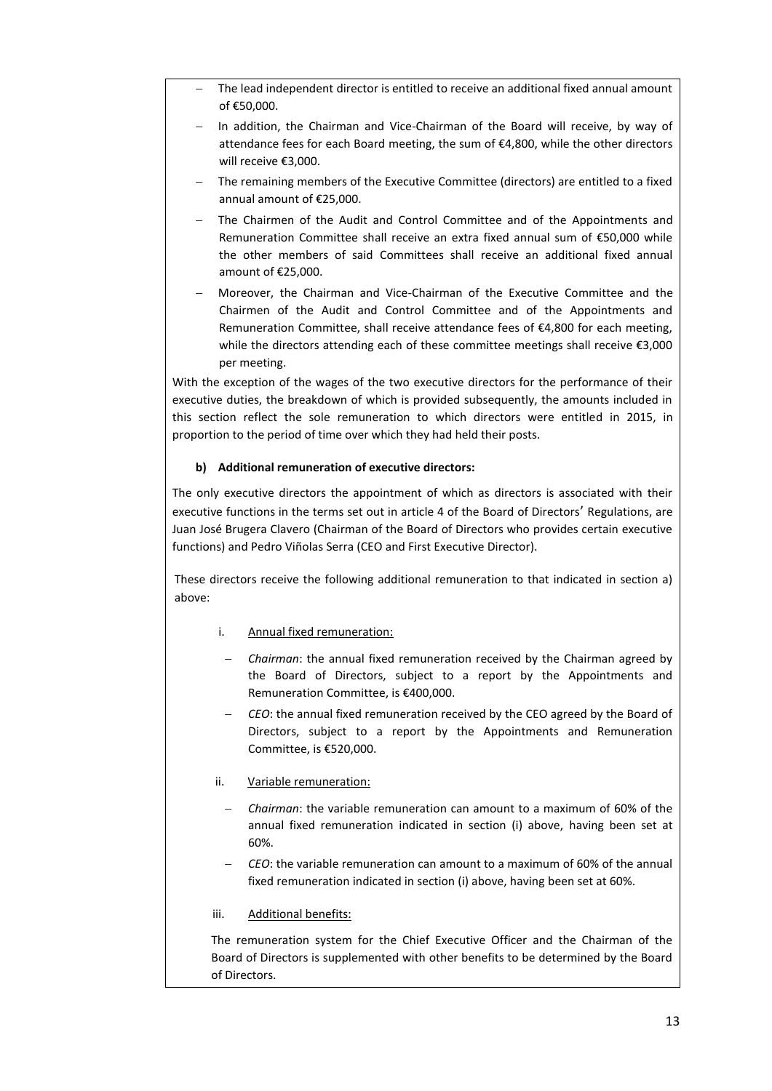- The lead independent director is entitled to receive an additional fixed annual amount of €50,000.
- In addition, the Chairman and Vice-Chairman of the Board will receive, by way of attendance fees for each Board meeting, the sum of  $\epsilon$ 4,800, while the other directors will receive €3,000.
- The remaining members of the Executive Committee (directors) are entitled to a fixed annual amount of €25,000.
- The Chairmen of the Audit and Control Committee and of the Appointments and Remuneration Committee shall receive an extra fixed annual sum of €50,000 while the other members of said Committees shall receive an additional fixed annual amount of €25,000.
- Moreover, the Chairman and Vice-Chairman of the Executive Committee and the Chairmen of the Audit and Control Committee and of the Appointments and Remuneration Committee, shall receive attendance fees of €4,800 for each meeting, while the directors attending each of these committee meetings shall receive €3,000 per meeting.

With the exception of the wages of the two executive directors for the performance of their executive duties, the breakdown of which is provided subsequently, the amounts included in this section reflect the sole remuneration to which directors were entitled in 2015, in proportion to the period of time over which they had held their posts.

### **b) Additional remuneration of executive directors:**

The only executive directors the appointment of which as directors is associated with their executive functions in the terms set out in article 4 of the Board of Directors' Regulations, are Juan José Brugera Clavero (Chairman of the Board of Directors who provides certain executive functions) and Pedro Viñolas Serra (CEO and First Executive Director).

These directors receive the following additional remuneration to that indicated in section a) above:

- i. Annual fixed remuneration:
- *Chairman*: the annual fixed remuneration received by the Chairman agreed by the Board of Directors, subject to a report by the Appointments and Remuneration Committee, is €400,000.
- *CEO*: the annual fixed remuneration received by the CEO agreed by the Board of Directors, subject to a report by the Appointments and Remuneration Committee, is €520,000.
- ii. Variable remuneration:
	- *Chairman*: the variable remuneration can amount to a maximum of 60% of the annual fixed remuneration indicated in section (i) above, having been set at 60%.
	- *CEO*: the variable remuneration can amount to a maximum of 60% of the annual fixed remuneration indicated in section (i) above, having been set at 60%.
- iii. Additional benefits:

The remuneration system for the Chief Executive Officer and the Chairman of the Board of Directors is supplemented with other benefits to be determined by the Board of Directors.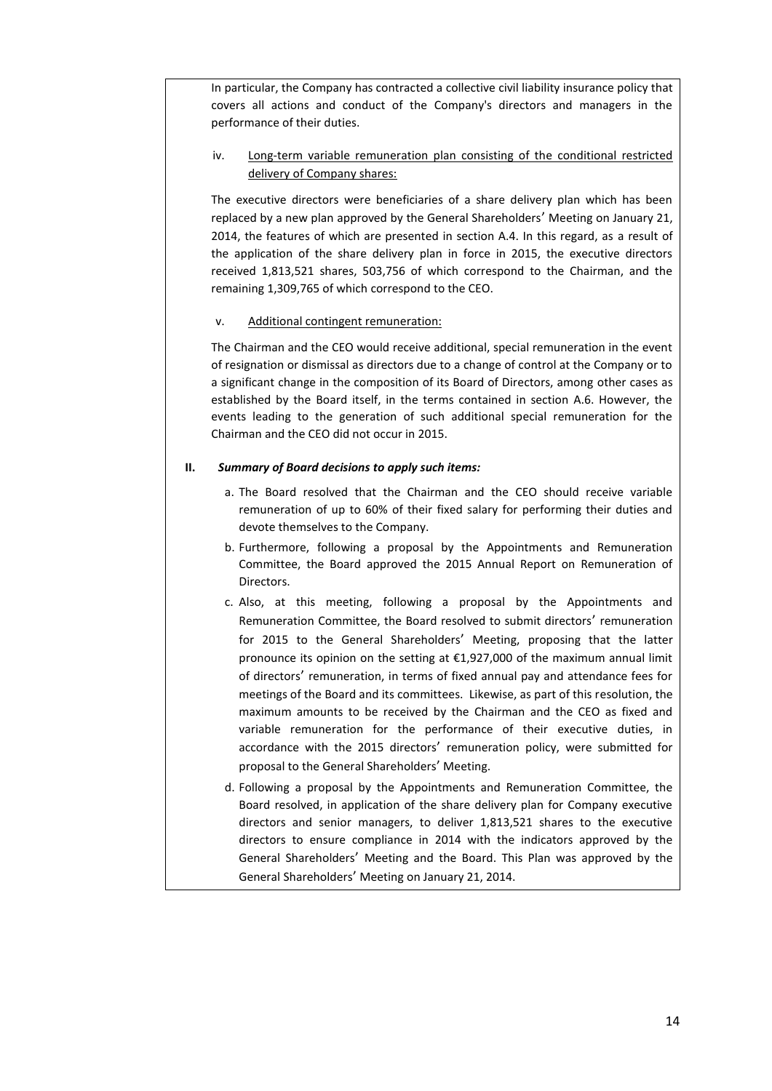In particular, the Company has contracted a collective civil liability insurance policy that covers all actions and conduct of the Company's directors and managers in the performance of their duties.

## iv. Long-term variable remuneration plan consisting of the conditional restricted delivery of Company shares:

The executive directors were beneficiaries of a share delivery plan which has been replaced by a new plan approved by the General Shareholders' Meeting on January 21, 2014, the features of which are presented in section A.4. In this regard, as a result of the application of the share delivery plan in force in 2015, the executive directors received 1,813,521 shares, 503,756 of which correspond to the Chairman, and the remaining 1,309,765 of which correspond to the CEO.

#### v. Additional contingent remuneration:

The Chairman and the CEO would receive additional, special remuneration in the event of resignation or dismissal as directors due to a change of control at the Company or to a significant change in the composition of its Board of Directors, among other cases as established by the Board itself, in the terms contained in section A.6. However, the events leading to the generation of such additional special remuneration for the Chairman and the CEO did not occur in 2015.

#### **II.** *Summary of Board decisions to apply such items:*

- a. The Board resolved that the Chairman and the CEO should receive variable remuneration of up to 60% of their fixed salary for performing their duties and devote themselves to the Company.
- b. Furthermore, following a proposal by the Appointments and Remuneration Committee, the Board approved the 2015 Annual Report on Remuneration of **Directors**
- c. Also, at this meeting, following a proposal by the Appointments and Remuneration Committee, the Board resolved to submit directors' remuneration for 2015 to the General Shareholders' Meeting, proposing that the latter pronounce its opinion on the setting at €1,927,000 of the maximum annual limit of directors' remuneration, in terms of fixed annual pay and attendance fees for meetings of the Board and its committees. Likewise, as part of this resolution, the maximum amounts to be received by the Chairman and the CEO as fixed and variable remuneration for the performance of their executive duties, in accordance with the 2015 directors' remuneration policy, were submitted for proposal to the General Shareholders' Meeting.
- d. Following a proposal by the Appointments and Remuneration Committee, the Board resolved, in application of the share delivery plan for Company executive directors and senior managers, to deliver 1,813,521 shares to the executive directors to ensure compliance in 2014 with the indicators approved by the General Shareholders' Meeting and the Board. This Plan was approved by the General Shareholders' Meeting on January 21, 2014.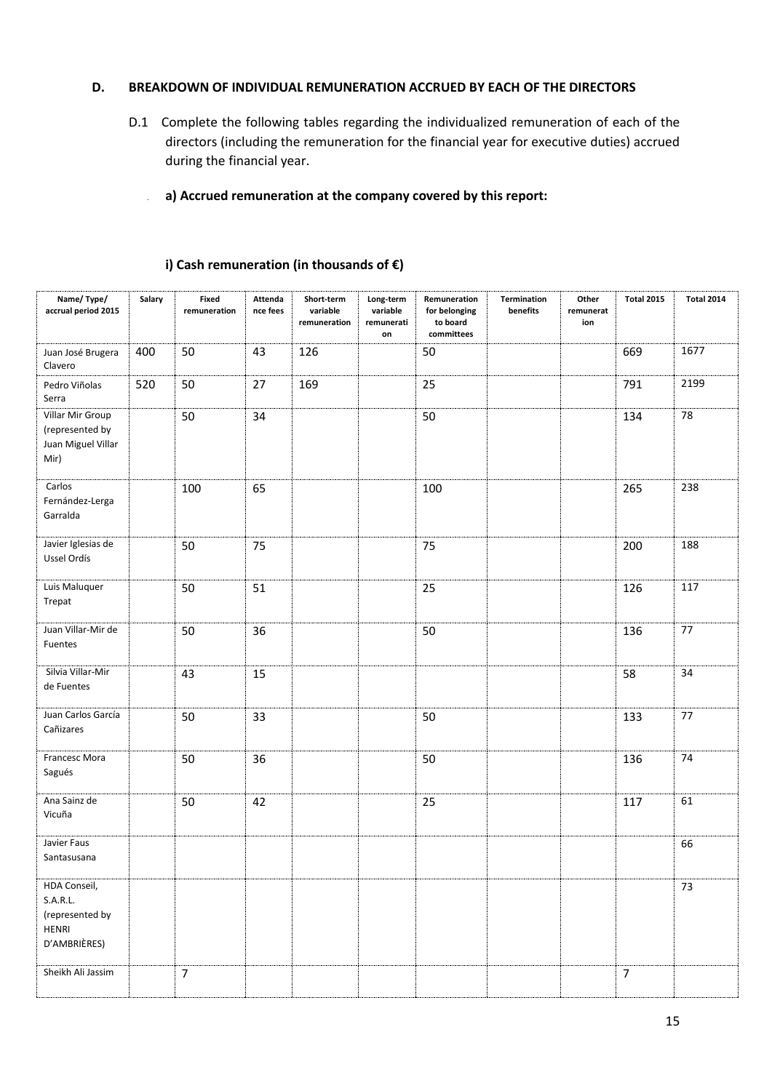### **D. BREAKDOWN OF INDIVIDUAL REMUNERATION ACCRUED BY EACH OF THE DIRECTORS**

D.1 Complete the following tables regarding the individualized remuneration of each of the directors (including the remuneration for the financial year for executive duties) accrued during the financial year.

# **a) Accrued remuneration at the company covered by this report:**

| Name/Type/<br>accrual period 2015                                    | Salary | Fixed<br>remuneration | Attenda<br>nce fees | Short-term<br>variable<br>remuneration | Long-term<br>variable<br>remunerati<br>on | Remuneration<br>for belonging<br>to board<br>committees | Termination<br>benefits | Other<br>remunerat<br>ion | <b>Total 2015</b> | <b>Total 2014</b> |
|----------------------------------------------------------------------|--------|-----------------------|---------------------|----------------------------------------|-------------------------------------------|---------------------------------------------------------|-------------------------|---------------------------|-------------------|-------------------|
| Juan José Brugera<br>Clavero                                         | 400    | 50                    | 43                  | 126                                    |                                           | 50                                                      |                         |                           | 669               | 1677              |
| Pedro Viñolas<br>Serra                                               | 520    | 50                    | 27                  | 169                                    |                                           | 25                                                      |                         |                           | 791               | 2199              |
| Villar Mir Group<br>(represented by<br>Juan Miguel Villar<br>Mir)    |        | 50                    | 34                  |                                        |                                           | 50                                                      |                         |                           | 134               | 78                |
| Carlos<br>Fernández-Lerga<br>Garralda                                |        | 100                   | 65                  |                                        |                                           | 100                                                     |                         |                           | 265               | 238               |
| Javier Iglesias de<br>Ussel Ordís                                    |        | 50                    | 75                  |                                        |                                           | 75                                                      |                         |                           | 200               | 188               |
| Luis Maluquer<br>Trepat                                              |        | 50                    | 51                  |                                        |                                           | 25                                                      |                         |                           | 126               | 117               |
| Juan Villar-Mir de<br>Fuentes                                        |        | 50                    | 36                  |                                        |                                           | 50                                                      |                         |                           | 136               | 77                |
| Silvia Villar-Mir<br>de Fuentes                                      |        | 43                    | 15                  |                                        |                                           |                                                         |                         |                           | 58                | 34                |
| Juan Carlos García<br>Cañizares                                      |        | 50                    | 33                  |                                        |                                           | 50                                                      |                         |                           | 133               | 77                |
| Francesc Mora<br>Sagués                                              |        | 50                    | 36                  |                                        |                                           | 50                                                      |                         |                           | 136               | 74                |
| Ana Sainz de<br>Vicuña                                               |        | 50                    | 42                  |                                        |                                           | 25                                                      |                         |                           | 117               | 61                |
| Javier Faus<br>Santasusana                                           |        |                       |                     |                                        |                                           |                                                         |                         |                           |                   | 66                |
| HDA Conseil,<br>S.A.R.L.<br>(represented by<br>HENRI<br>D'AMBRIÈRES) |        |                       |                     |                                        |                                           |                                                         |                         |                           |                   | 73                |
| Sheikh Ali Jassim                                                    |        | $\overline{7}$        |                     |                                        |                                           |                                                         |                         |                           | $\overline{7}$    |                   |

#### **i) Cash remuneration (in thousands of €)**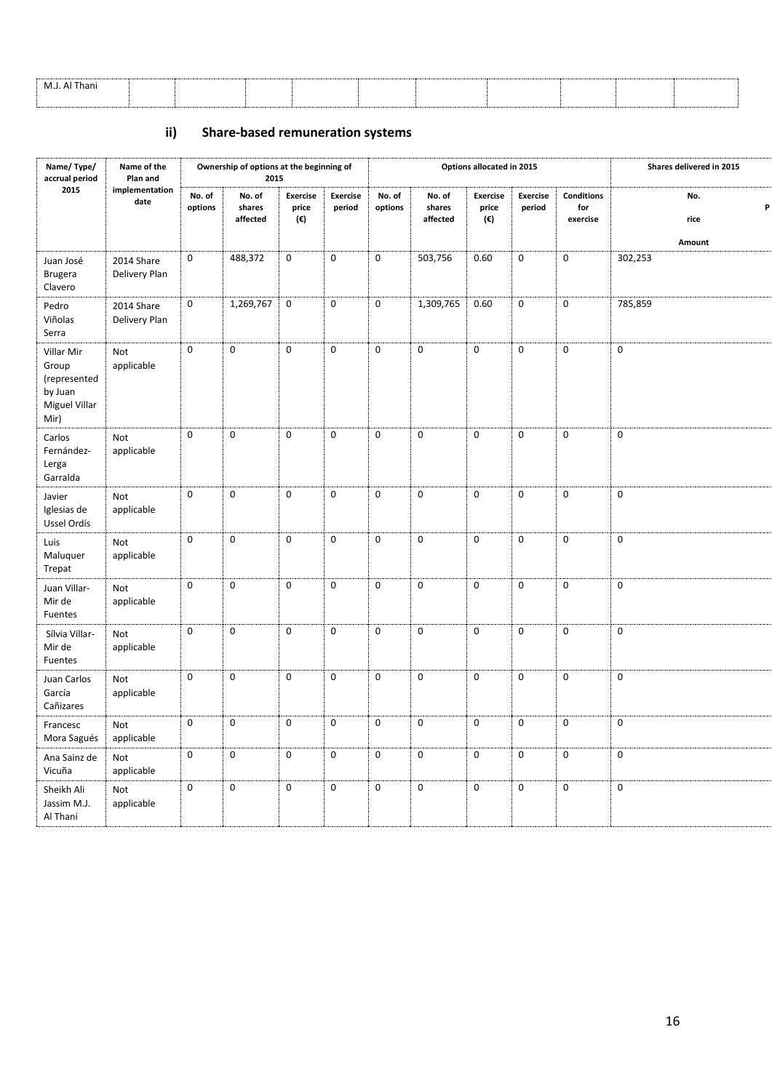| M.J. Al Thani                                                                                                   |  |  |  |  |  |
|-----------------------------------------------------------------------------------------------------------------|--|--|--|--|--|
| the contract of the contract of the contract of the contract of the contract of the contract of the contract of |  |  |  |  |  |
|                                                                                                                 |  |  |  |  |  |
|                                                                                                                 |  |  |  |  |  |
|                                                                                                                 |  |  |  |  |  |
|                                                                                                                 |  |  |  |  |  |

# **ii) Share-based remuneration systems**

| Name/Type/<br>accrual period                                            | Name of the<br>Plan and     |                   | Ownership of options at the beginning of<br>2015 |                                 |                           |                   |                              | Options allocated in 2015       |                    |                                      | Shares delivered in 2015   |
|-------------------------------------------------------------------------|-----------------------------|-------------------|--------------------------------------------------|---------------------------------|---------------------------|-------------------|------------------------------|---------------------------------|--------------------|--------------------------------------|----------------------------|
| 2015                                                                    | implementation<br>date      | No. of<br>options | No. of<br>shares<br>affected                     | <b>Exercise</b><br>price<br>(€) | <b>Exercise</b><br>period | No. of<br>options | No. of<br>shares<br>affected | <b>Exercise</b><br>price<br>(€) | Exercise<br>period | <b>Conditions</b><br>for<br>exercise | No.<br>P<br>rice<br>Amount |
| Juan José<br><b>Brugera</b><br>Clavero                                  | 2014 Share<br>Delivery Plan | $\mathbf 0$       | 488,372                                          | $\mathbf 0$                     | $\mathbf{0}$              | $\mathbf 0$       | 503,756                      | 0.60                            | $\mathbf 0$        | $\mathbf 0$                          | 302,253                    |
| Pedro<br>Viñolas<br>Serra                                               | 2014 Share<br>Delivery Plan | $\pmb{0}$         | 1,269,767                                        | $\mathbf 0$                     | $\mathbf 0$               | $\mathbf 0$       | 1,309,765                    | 0.60                            | $\pmb{0}$          | $\mathbf 0$                          | 785,859                    |
| Villar Mir<br>Group<br>(represented<br>by Juan<br>Miguel Villar<br>Mir) | Not<br>applicable           | $\mathbf 0$       | $\pmb{0}$                                        | $\mathbf 0$                     | $\mathbf 0$               | $\mathbf 0$       | $\mathsf{O}\xspace$          | $\mathbf 0$                     | $\mathbf 0$        | $\mathbf 0$                          | $\mathbf 0$                |
| Carlos<br>Fernández-<br>Lerga<br>Garralda                               | Not<br>applicable           | $\mathbf 0$       | $\pmb{0}$                                        | $\mathbf 0$                     | $\mathbf 0$               | $\mathbf 0$       | $\mathbf 0$                  | $\mathbf 0$                     | $\mathbf 0$        | $\mathbf 0$                          | $\mathbf 0$                |
| Javier<br>Iglesias de<br>Ussel Ordís                                    | Not<br>applicable           | $\pmb{0}$         | $\pmb{0}$                                        | $\mathbf 0$                     | $\mathbf 0$               | $\mathbf 0$       | $\pmb{0}$                    | $\pmb{0}$                       | $\pmb{0}$          | $\pmb{0}$                            | $\pmb{0}$                  |
| Luis<br>Maluquer<br>Trepat                                              | Not<br>applicable           | $\pmb{0}$         | $\pmb{0}$                                        | $\mathbf 0$                     | $\mathbf 0$               | $\mathbf 0$       | $\pmb{0}$                    | 0                               | $\pmb{0}$          | $\pmb{0}$                            | $\pmb{0}$                  |
| Juan Villar-<br>Mir de<br>Fuentes                                       | Not<br>applicable           | $\mathbf 0$       | $\mathbf 0$                                      | $\mathbf 0$                     | $\boldsymbol{0}$          | $\mathbf 0$       | $\mathbf 0$                  | 0                               | $\mathbf 0$        | $\mathbf 0$                          | $\boldsymbol{0}$           |
| Sílvia Villar-<br>Mir de<br>Fuentes                                     | Not<br>applicable           | $\overline{0}$    | $\mathbf 0$                                      | $\mathbf 0$                     | $\overline{0}$            | $\mathbf 0$       | $\mathbf 0$                  | $\mathbf 0$                     | $\mathbf 0$        | $\boldsymbol{0}$                     | $\mathbf 0$                |
| Juan Carlos<br>García<br>Cañizares                                      | Not<br>applicable           | $\pmb{0}$         | $\mathbf 0$                                      | $\mathbf 0$                     | $\overline{0}$            | $\pmb{0}$         | $\pmb{0}$                    | $\mathbf 0$                     | $\pmb{0}$          | $\boldsymbol{0}$                     | $\pmb{0}$                  |
| Francesc<br>Mora Sagués                                                 | Not<br>applicable           | $\pmb{0}$         | $\mathbf 0$                                      | $\mathbf 0$                     | $\mathbf 0$               | $\mathbf 0$       | $\pmb{0}$                    | $\mathbf 0$                     | $\mathbf 0$        | $\mathbf 0$                          | $\pmb{0}$                  |
| Ana Sainz de<br>Vicuña                                                  | Not<br>applicable           | $\pmb{0}$         | $\pmb{0}$                                        | $\pmb{0}$                       | $\mathbf 0$               | 0                 | $\pmb{0}$                    | $\pmb{0}$                       | $\pmb{0}$          | $\pmb{0}$                            | $\pmb{0}$                  |
| Sheikh Ali<br>Jassim M.J.<br>Al Thani                                   | Not<br>applicable           | $\mathbf 0$       | $\mathbf 0$                                      | $\mathbf 0$                     | $\boldsymbol{0}$          | 0                 | $\mathbf 0$                  | 0                               | $\mathbf 0$        | $\boldsymbol{0}$                     | $\mathbf 0$                |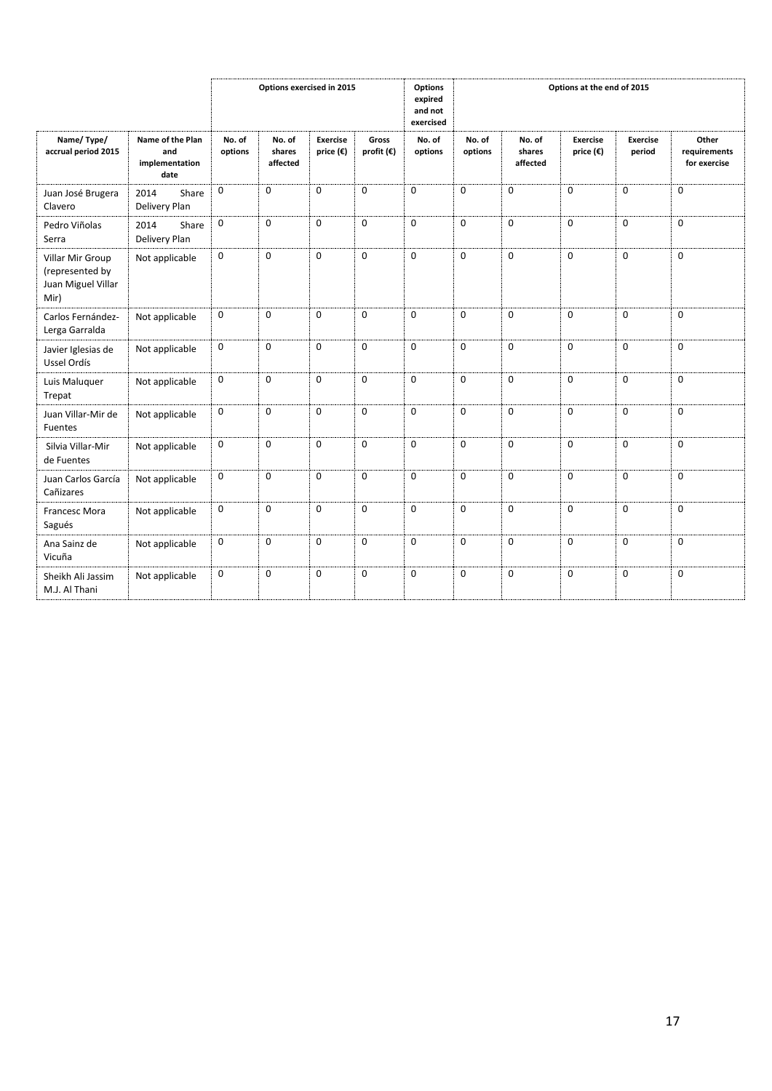|                                                                   |                                                   | <b>Options</b><br>Options exercised in 2015<br>expired<br>and not<br>exercised |                              |                                       |                              |                   | Options at the end of 2015 |                              |                                       |                           |                                       |
|-------------------------------------------------------------------|---------------------------------------------------|--------------------------------------------------------------------------------|------------------------------|---------------------------------------|------------------------------|-------------------|----------------------------|------------------------------|---------------------------------------|---------------------------|---------------------------------------|
| Name/Type/<br>accrual period 2015                                 | Name of the Plan<br>and<br>implementation<br>date | No. of<br>options                                                              | No. of<br>shares<br>affected | <b>Exercise</b><br>price $(\epsilon)$ | Gross<br>profit $(\epsilon)$ | No. of<br>options | No. of<br>options          | No. of<br>shares<br>affected | <b>Exercise</b><br>price $(\epsilon)$ | <b>Exercise</b><br>period | Other<br>requirements<br>for exercise |
| Juan José Brugera<br>Clavero                                      | 2014<br>Share<br>Delivery Plan                    | $\mathbf 0$                                                                    | $\mathbf 0$                  | $\mathbf 0$                           | $\mathbf 0$                  | $\mathbf 0$       | $\mathbf 0$                | 0                            | $\mathbf 0$                           | $\mathbf 0$               | $\mathbf 0$                           |
| Pedro Viñolas<br>Serra                                            | 2014<br>Share<br>Delivery Plan                    | $\mathbf 0$                                                                    | $\mathbf 0$                  | $\Omega$                              | $\mathbf 0$                  | $\Omega$          | $\mathbf 0$                | 0                            | $\mathbf 0$                           | $\mathbf 0$               | $\mathbf 0$                           |
| Villar Mir Group<br>(represented by<br>Juan Miguel Villar<br>Mir) | Not applicable                                    | $\mathbf 0$                                                                    | $\mathbf{0}$                 | $\Omega$                              | $\Omega$                     | $\Omega$          | $\Omega$                   | 0                            | $\Omega$                              | $\Omega$                  | $\mathbf 0$                           |
| Carlos Fernández-<br>Lerga Garralda                               | Not applicable                                    | $\mathbf 0$                                                                    | $\mathbf 0$                  | $\Omega$                              | $\mathbf 0$                  | $\Omega$          | $\mathbf 0$                | 0                            | $\mathbf 0$                           | $\mathbf 0$               | $\mathbf 0$                           |
| Javier Iglesias de<br>Ussel Ordís                                 | Not applicable                                    | $\mathbf 0$                                                                    | $\mathbf{0}$                 | $\Omega$                              | $\mathbf 0$                  | $\Omega$          | $\Omega$                   | 0                            | $\mathbf 0$                           | $\mathbf 0$               | $\mathbf 0$                           |
| Luis Maluquer<br>Trepat                                           | Not applicable                                    | $\mathbf 0$                                                                    | $\mathbf 0$                  | $\mathbf 0$                           | $\mathbf 0$                  | 0                 | $\mathbf 0$                | 0                            | $\mathbf 0$                           | $\mathbf 0$               | $\mathbf 0$                           |
| Juan Villar-Mir de<br><b>Fuentes</b>                              | Not applicable                                    | $\mathbf 0$                                                                    | $\boldsymbol{0}$             | $\mathbf 0$                           | $\mathbf 0$                  | $\mathbf 0$       | $\mathbf 0$                | 0                            | $\mathbf 0$                           | 0                         | $\mathbf 0$                           |
| Silvia Villar-Mir<br>de Fuentes                                   | Not applicable                                    | $\mathbf 0$                                                                    | $\mathbf 0$                  | $\mathbf 0$                           | $\mathbf 0$                  | $\mathbf 0$       | $\mathbf 0$                | 0                            | $\mathbf 0$                           | $\mathbf 0$               | $\mathbf 0$                           |
| Juan Carlos García<br>Cañizares                                   | Not applicable                                    | $\mathbf 0$                                                                    | $\mathbf{0}$                 | $\Omega$                              | $\mathbf 0$                  | $\Omega$          | $\Omega$                   | 0                            | $\mathbf 0$                           | $\mathbf 0$               | $\mathbf 0$                           |
| <b>Francesc Mora</b><br>Sagués                                    | Not applicable                                    | $\mathbf 0$                                                                    | $\mathbf 0$                  | $\Omega$                              | $\mathbf 0$                  | $\Omega$          | $\mathbf 0$                | 0                            | $\mathbf 0$                           | 0                         | 0                                     |
| Ana Sainz de<br>Vicuña                                            | Not applicable                                    | $\mathbf 0$                                                                    | $\mathbf 0$                  | $\mathbf 0$                           | $\mathbf 0$                  | $\mathbf 0$       | $\mathbf 0$                | 0                            | $\mathbf 0$                           | $\mathbf 0$               | $\mathbf 0$                           |
| Sheikh Ali Jassim<br>M.J. Al Thani                                | Not applicable                                    | $\mathbf 0$                                                                    | $\boldsymbol{0}$             | $\mathbf 0$                           | $\mathbf 0$                  | $\mathbf 0$       | $\mathbf 0$                | 0                            | $\mathbf 0$                           | $\mathbf 0$               | $\mathbf 0$                           |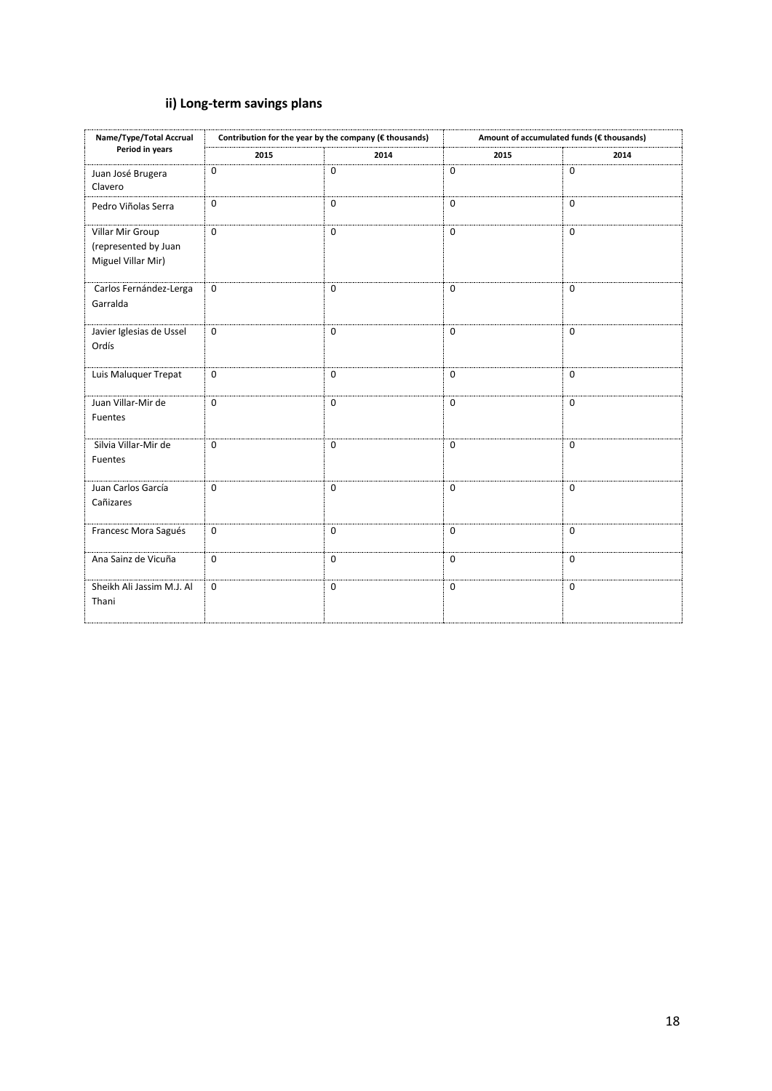# **ii) Long-term savings plans**

| Name/Type/Total Accrual                                        |             | Contribution for the year by the company (€ thousands) |             | Amount of accumulated funds (€ thousands) |  |  |  |  |
|----------------------------------------------------------------|-------------|--------------------------------------------------------|-------------|-------------------------------------------|--|--|--|--|
| Period in years                                                | 2015        | 2014                                                   | 2015        | 2014                                      |  |  |  |  |
| Juan José Brugera<br>Clavero                                   | $\mathbf 0$ | $\mathbf 0$                                            | $\mathbf 0$ | $\mathbf 0$                               |  |  |  |  |
| Pedro Viñolas Serra                                            | $\mathbf 0$ | $\mathbf 0$                                            | $\mathbf 0$ | $\mathbf 0$                               |  |  |  |  |
| Villar Mir Group<br>(represented by Juan<br>Miguel Villar Mir) | $\mathbf 0$ | $\mathbf 0$                                            | $\mathbf 0$ | $\mathbf 0$                               |  |  |  |  |
| Carlos Fernández-Lerga<br>Garralda                             | $\mathbf 0$ | $\mathbf 0$                                            | $\mathbf 0$ | $\mathbf 0$                               |  |  |  |  |
| Javier Iglesias de Ussel<br>Ordís                              | $\mathbf 0$ | $\mathbf 0$                                            | $\mathbf 0$ | $\mathbf 0$                               |  |  |  |  |
| Luis Maluquer Trepat                                           | $\mathbf 0$ | $\mathbf{0}$                                           | $\mathbf 0$ | $\mathbf 0$                               |  |  |  |  |
| Juan Villar-Mir de<br>Fuentes                                  | $\pmb{0}$   | $\mathbf 0$                                            | $\mathbf 0$ | $\mathbf 0$                               |  |  |  |  |
| Silvia Villar-Mir de<br>Fuentes                                | $\mathbf 0$ | $\mathbf{0}$                                           | $\mathbf 0$ | $\mathbf 0$                               |  |  |  |  |
| Juan Carlos García<br>Cañizares                                | $\mathbf 0$ | $\mathbf{0}$                                           | $\mathbf 0$ | $\mathbf 0$                               |  |  |  |  |
| Francesc Mora Sagués                                           | $\mathbf 0$ | $\mathbf{0}$                                           | $\mathbf 0$ | $\mathbf 0$                               |  |  |  |  |
| Ana Sainz de Vicuña                                            | $\mathbf 0$ | $\mathbf{0}$                                           | $\mathbf 0$ | $\mathbf 0$                               |  |  |  |  |
| Sheikh Ali Jassim M.J. Al<br>Thani                             | $\mathbf 0$ | $\mathbf 0$                                            | $\mathbf 0$ | $\mathbf 0$                               |  |  |  |  |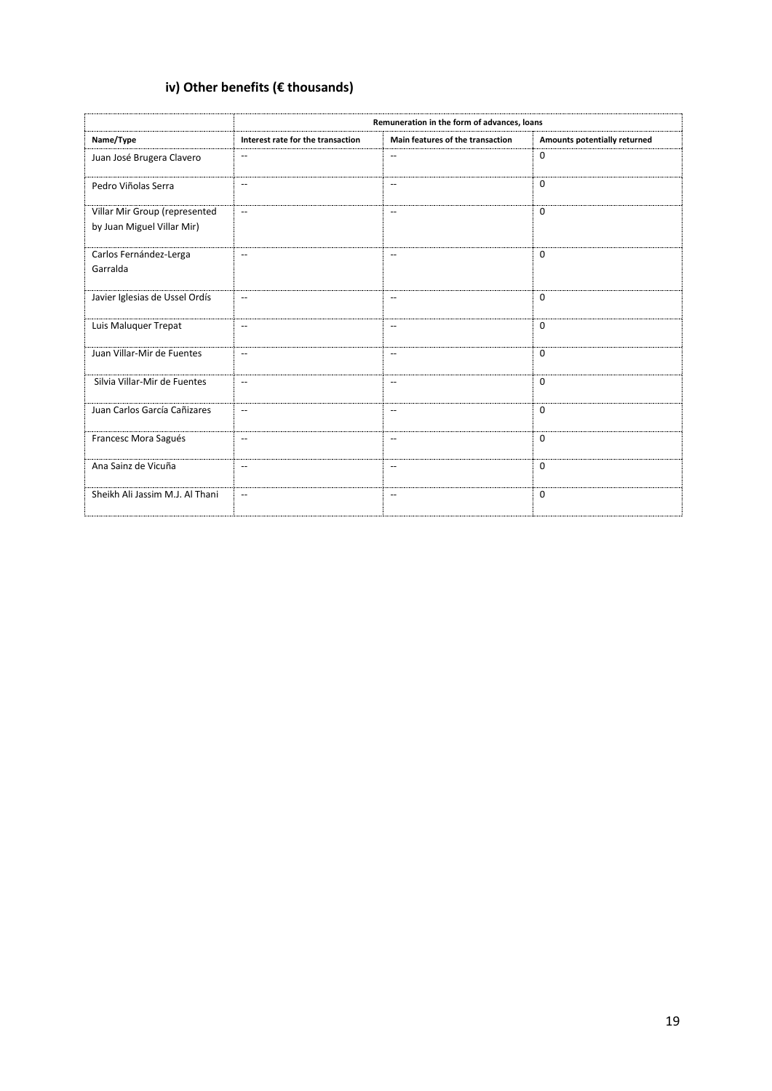# **iv) Other benefits (€ thousands)**

|                                                             | Remuneration in the form of advances, loans         |                                                     |                              |  |  |  |  |  |  |  |  |
|-------------------------------------------------------------|-----------------------------------------------------|-----------------------------------------------------|------------------------------|--|--|--|--|--|--|--|--|
| Name/Type                                                   | Interest rate for the transaction                   | Main features of the transaction                    | Amounts potentially returned |  |  |  |  |  |  |  |  |
| Juan José Brugera Clavero                                   | $\hspace{0.05cm} -\hspace{0.05cm} -\hspace{0.05cm}$ | $\overline{\phantom{a}}$                            | $\mathbf 0$                  |  |  |  |  |  |  |  |  |
| Pedro Viñolas Serra                                         | $\hspace{0.05cm} -\hspace{0.05cm} -\hspace{0.05cm}$ | $\hspace{0.05cm} -\hspace{0.05cm} -\hspace{0.05cm}$ | $\Omega$                     |  |  |  |  |  |  |  |  |
| Villar Mir Group (represented<br>by Juan Miguel Villar Mir) | $\mathbf{u}$                                        | $-$                                                 | $\Omega$                     |  |  |  |  |  |  |  |  |
| Carlos Fernández-Lerga<br>Garralda                          | $\mathbf{u}$                                        | $\hspace{0.05cm} -$                                 | $\Omega$                     |  |  |  |  |  |  |  |  |
| Javier Iglesias de Ussel Ordís                              | $\mathbf{u}$                                        | $\mathbf{u}$                                        | $\Omega$                     |  |  |  |  |  |  |  |  |
| Luis Maluquer Trepat                                        | $\mathbf{u}$                                        | $\overline{\phantom{a}}$                            | $\Omega$                     |  |  |  |  |  |  |  |  |
| Juan Villar-Mir de Fuentes                                  | $\overline{a}$                                      | $\overline{\phantom{a}}$                            | $\Omega$                     |  |  |  |  |  |  |  |  |
| Silvia Villar-Mir de Fuentes                                | $\overline{\phantom{a}}$                            | $\overline{\phantom{a}}$                            | $\mathbf 0$                  |  |  |  |  |  |  |  |  |
| Juan Carlos García Cañizares                                | $\mathbf{u}$                                        | $\overline{\phantom{a}}$                            | $\Omega$                     |  |  |  |  |  |  |  |  |
| Francesc Mora Sagués                                        | $\mathbf{u}$                                        | $\overline{\phantom{a}}$                            | $\mathbf 0$                  |  |  |  |  |  |  |  |  |
| Ana Sainz de Vicuña                                         | $\mathbf{u}$                                        | $\hspace{0.05cm} -\hspace{0.05cm} -\hspace{0.05cm}$ | $\mathbf 0$                  |  |  |  |  |  |  |  |  |
| Sheikh Ali Jassim M.J. Al Thani                             | $\overline{a}$                                      | $-$                                                 | $\Omega$                     |  |  |  |  |  |  |  |  |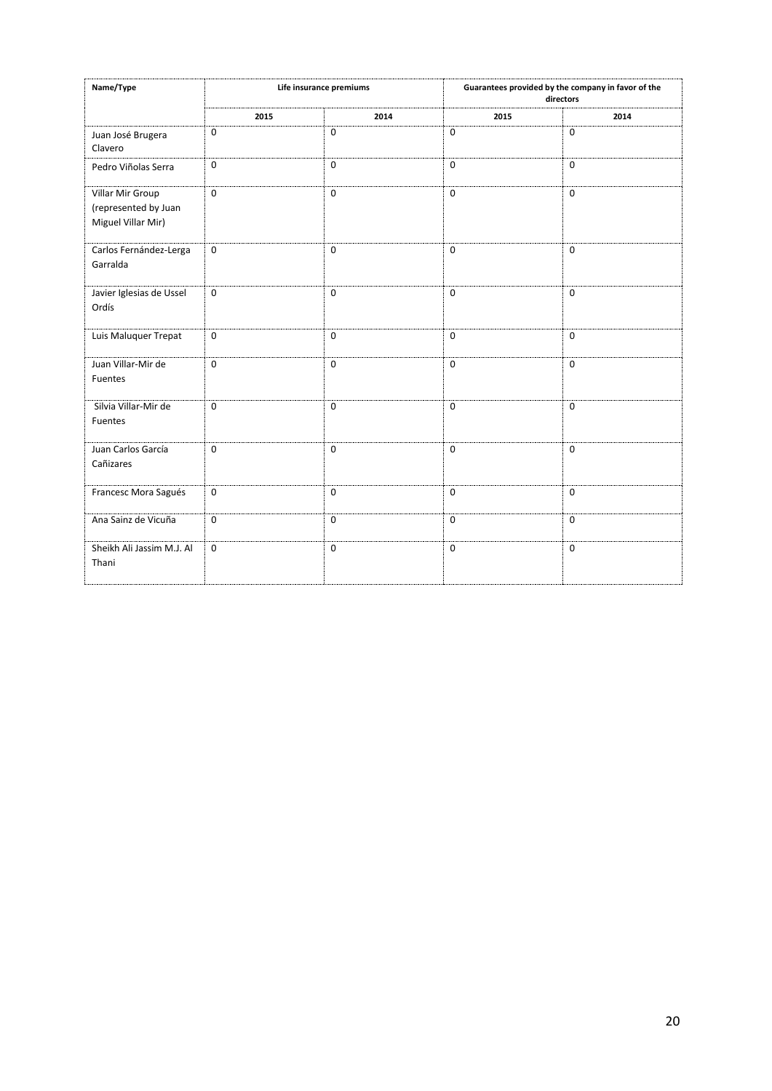| Name/Type                                                      |                  | Life insurance premiums |             | Guarantees provided by the company in favor of the<br>directors |
|----------------------------------------------------------------|------------------|-------------------------|-------------|-----------------------------------------------------------------|
|                                                                | 2015             | 2014                    | 2015        | 2014                                                            |
| Juan José Brugera<br>Clavero                                   | 0                | $\mathbf 0$             | $\mathbf 0$ | $\mathbf 0$                                                     |
| Pedro Viñolas Serra                                            | 0                | $\mathbf 0$             | $\mathbf 0$ | $\mathbf 0$                                                     |
| Villar Mir Group<br>(represented by Juan<br>Miguel Villar Mir) | $\mathbf 0$      | $\Omega$                | $\mathbf 0$ | $\Omega$                                                        |
| Carlos Fernández-Lerga<br>Garralda                             | $\mathbf 0$      | $\mathbf 0$             | $\pmb{0}$   | $\mathbf 0$                                                     |
| Javier Iglesias de Ussel<br>Ordís                              | $\mathbf 0$      | $\mathbf 0$             | $\mathbf 0$ | $\mathbf 0$                                                     |
| Luis Maluquer Trepat                                           | $\mathbf 0$      | $\mathbf 0$             | $\mathbf 0$ | $\mathbf 0$                                                     |
| Juan Villar-Mir de<br>Fuentes                                  | $\mathbf 0$      | $\mathbf 0$             | $\mathbf 0$ | $\mathbf 0$                                                     |
| Silvia Villar-Mir de<br>Fuentes                                | $\mathbf 0$      | $\mathbf 0$             | $\mathbf 0$ | $\mathbf 0$                                                     |
| Juan Carlos García<br>Cañizares                                | $\mathbf 0$      | $\Omega$                | $\mathbf 0$ | $\Omega$                                                        |
| Francesc Mora Sagués                                           | $\boldsymbol{0}$ | $\mathbf 0$             | $\mathbf 0$ | $\mathbf 0$                                                     |
| Ana Sainz de Vicuña                                            | $\mathbf 0$      | $\mathbf 0$             | $\mathbf 0$ | $\mathbf 0$                                                     |
| Sheikh Ali Jassim M.J. Al<br>Thani                             | $\mathbf 0$      | $\mathbf 0$             | $\mathbf 0$ | $\mathbf 0$                                                     |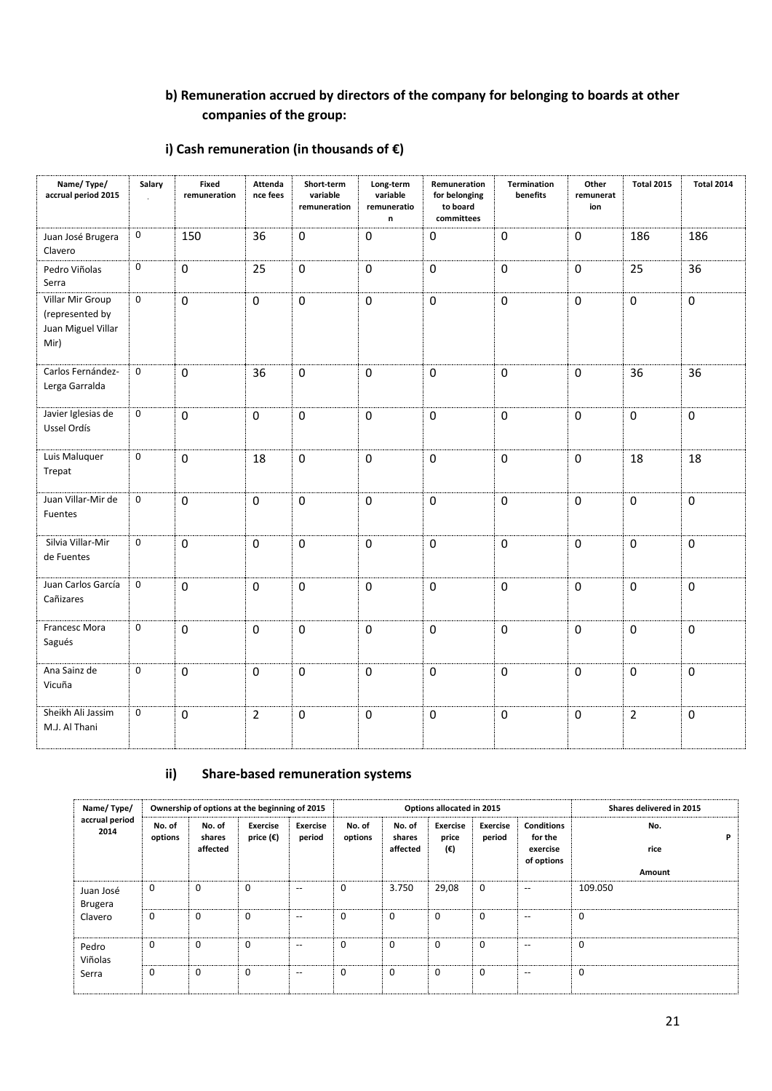# **b) Remuneration accrued by directors of the company for belonging to boards at other companies of the group:**

## **i) Cash remuneration (in thousands of €)**

| Name/Type/<br>accrual period 2015                                 | Salary           | <b>Fixed</b><br>remuneration | Attenda<br>nce fees | Short-term<br>variable<br>remuneration | Long-term<br>variable<br>remuneratio<br>n | Remuneration<br>for belonging<br>to board<br>committees | Termination<br>benefits | Other<br>remunerat<br>ion | <b>Total 2015</b> | <b>Total 2014</b> |
|-------------------------------------------------------------------|------------------|------------------------------|---------------------|----------------------------------------|-------------------------------------------|---------------------------------------------------------|-------------------------|---------------------------|-------------------|-------------------|
| Juan José Brugera<br>Clavero                                      | $\boldsymbol{0}$ | 150                          | 36                  | $\mathbf 0$                            | $\mathbf 0$                               | $\mathbf 0$                                             | $\pmb{0}$               | $\pmb{0}$                 | 186               | 186               |
| Pedro Viñolas<br>Serra                                            | $\mathbf 0$      | $\pmb{0}$                    | 25                  | $\pmb{0}$                              | $\pmb{0}$                                 | $\pmb{0}$                                               | $\pmb{0}$               | $\pmb{0}$                 | 25                | 36                |
| Villar Mir Group<br>(represented by<br>Juan Miguel Villar<br>Mir) | $\mathbf 0$      | $\mathbf 0$                  | $\mathbf 0$         | $\mathbf 0$                            | $\mathbf 0$                               | $\mathbf 0$                                             | $\mathbf 0$             | 0                         | $\mathbf 0$       | $\mathbf 0$       |
| Carlos Fernández-<br>Lerga Garralda                               | $\mathbf 0$      | $\mathbf 0$                  | 36                  | $\pmb{0}$                              | $\mathbf 0$                               | $\mathbf 0$                                             | $\mathbf 0$             | 0                         | 36                | 36                |
| Javier Iglesias de<br>Ussel Ordís                                 | $\mathbf 0$      | $\mathbf 0$                  | 0                   | $\pmb{0}$                              | $\pmb{0}$                                 | $\mathbf 0$                                             | $\pmb{0}$               | $\mathbf 0$               | $\mathbf 0$       | 0                 |
| Luis Maluquer<br>Trepat                                           | $\mathbf{0}$     | $\mathbf 0$                  | 18                  | $\mathbf 0$                            | $\mathbf 0$                               | $\mathbf 0$                                             | $\mathbf 0$             | $\mathbf 0$               | 18                | 18                |
| Juan Villar-Mir de<br>Fuentes                                     | $\mathbf 0$      | $\mathbf 0$                  | 0                   | $\mathbf 0$                            | $\mathbf 0$                               | $\mathbf 0$                                             | $\mathbf 0$             | 0                         | $\mathbf 0$       | $\mathbf 0$       |
| Silvia Villar-Mir<br>de Fuentes                                   | $\mathbf 0$      | $\mathbf{0}$                 | 0                   | $\mathbf 0$                            | $\mathbf 0$                               | $\mathbf{0}$                                            | $\mathbf 0$             | $\mathbf 0$               | $\Omega$          | 0                 |
| Juan Carlos García<br>Cañizares                                   | $\mathbf 0$      | $\mathbf 0$                  | 0                   | $\mathbf 0$                            | $\mathbf 0$                               | $\mathbf 0$                                             | $\mathbf 0$             | 0                         | $\mathbf 0$       | 0                 |
| Francesc Mora<br>Sagués                                           | $\mathbf 0$      | $\pmb{0}$                    | 0                   | $\pmb{0}$                              | $\pmb{0}$                                 | $\pmb{0}$                                               | $\pmb{0}$               | $\pmb{0}$                 | $\mathbf 0$       | $\pmb{0}$         |
| Ana Sainz de<br>Vicuña                                            | $\mathbf 0$      | $\pmb{0}$                    | 0                   | $\pmb{0}$                              | $\pmb{0}$                                 | $\pmb{0}$                                               | $\pmb{0}$               | $\pmb{0}$                 | $\mathbf 0$       | $\boldsymbol{0}$  |
| Sheikh Ali Jassim<br>M.J. Al Thani                                | $\mathbf 0$      | $\mathbf 0$                  | $\overline{2}$      | $\pmb{0}$                              | $\pmb{0}$                                 | $\mathbf 0$                                             | $\mathbf 0$             | 0                         | $\overline{2}$    | $\mathbf 0$       |

# **ii) Share-based remuneration systems**

| Name/Type/                  |                   |                              | Ownership of options at the beginning of 2015 |                          |                   |                              | Options allocated in 2015       |                           | Shares delivered in 2015                               |                  |
|-----------------------------|-------------------|------------------------------|-----------------------------------------------|--------------------------|-------------------|------------------------------|---------------------------------|---------------------------|--------------------------------------------------------|------------------|
| accrual period<br>2014      | No. of<br>options | No. of<br>shares<br>affected | Exercise<br>price $(\epsilon)$                | Exercise<br>period       | No. of<br>options | No. of<br>shares<br>affected | <b>Exercise</b><br>price<br>(€) | <b>Exercise</b><br>period | <b>Conditions</b><br>for the<br>exercise<br>of options | No.<br>P<br>rice |
|                             |                   |                              |                                               |                          |                   |                              |                                 |                           |                                                        | Amount           |
| Juan José<br><b>Brugera</b> | 0                 | 0                            | 0                                             | $-$                      | $\mathbf 0$       | 3.750                        | 29,08                           | $\mathbf 0$               | --                                                     | 109.050          |
| Clavero                     | $\mathbf 0$       | 0                            | $\mathbf 0$                                   | $\overline{\phantom{a}}$ | $\mathbf 0$       | $\mathbf{0}$                 | 0                               | 0                         | $\overline{\phantom{m}}$                               | $\mathbf 0$      |
| Pedro<br>Viñolas            | $\mathbf 0$       | 0                            | $\Omega$                                      | $\overline{\phantom{a}}$ | $\mathbf 0$       | $\mathbf 0$                  | $\Omega$                        | $\mathbf 0$               | $\hspace{0.05cm} -$                                    | 0                |
| Serra                       | 0                 | 0                            | $\mathbf 0$                                   | $\hspace{0.05cm} -$      | 0                 | $\mathbf 0$                  | 0                               | 0                         | $\overline{\phantom{m}}$                               | 0                |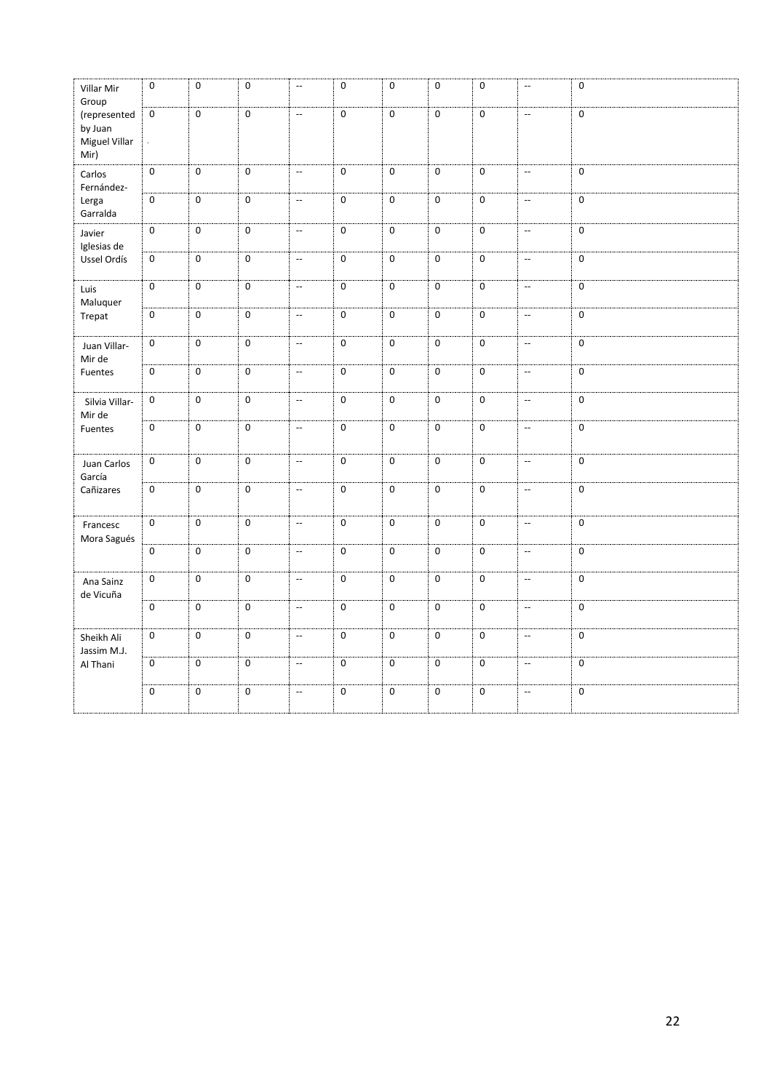| Villar Mir<br>Group                              | $\mathsf 0$      | $\pmb{0}$           | $\pmb{0}$        | $\mathbb{L}^{\mathbb{L}}$ | $\pmb{0}$      | $\pmb{0}$      | $\pmb{0}$   | $\pmb{0}$      | $\overline{\phantom{a}}$  | $\pmb{0}$           |
|--------------------------------------------------|------------------|---------------------|------------------|---------------------------|----------------|----------------|-------------|----------------|---------------------------|---------------------|
| (represented<br>by Juan<br>Miguel Villar<br>Mir) | $\overline{0}$   | $\pmb{0}$           | $\mathbf 0$      | $\overline{\phantom{a}}$  | $\overline{0}$ | $\mathbf 0$    | $\pmb{0}$   | $\mathbf 0$    | $\overline{\phantom{a}}$  | $\mathbf 0$         |
| Carlos<br>Fernández-                             | $\boldsymbol{0}$ | $\mathsf{O}\xspace$ | $\mathbf 0$      | $\overline{\phantom{a}}$  | $\mathsf 0$    | $\mathbf 0$    | $\mathbf 0$ | $\mathsf 0$    | $\mathbb{L}^2$            | $\mathbf 0$         |
| Lerga<br>Garralda                                | $\mathbf 0$      | $\pmb{0}$           | $\mathbf 0$      | $\overline{\phantom{a}}$  | $\mathbf 0$    | $\mathbf 0$    | $\mathbf 0$ | $\mathbf 0$    | $\overline{\phantom{a}}$  | $\mathbf 0$         |
| Javier<br>Iglesias de                            | $\boldsymbol{0}$ | $\mathsf{O}\xspace$ | $\mathbf 0$      | $\mathbb{L}^{\mathbb{L}}$ | $\overline{0}$ | $\overline{0}$ | $\pmb{0}$   | $\mathsf 0$    | $\overline{\phantom{a}}$  | $\mathbf 0$         |
| Ussel Ordís                                      | $\overline{0}$   | $\overline{0}$      | $\mathbf 0$      | $\overline{\phantom{a}}$  | $\overline{0}$ | $\mathbf 0$    | $\mathbf 0$ | $\overline{0}$ | $\overline{\phantom{a}}$  | 0                   |
| Luis<br>Maluquer                                 | $\mathbf 0$      | $\pmb{0}$           | $\mathbf 0$      | $\overline{\phantom{a}}$  | $\mathbf 0$    | $\mathbf 0$    | $\pmb{0}$   | 0              | $\overline{\phantom{a}}$  | 0                   |
| Trepat                                           | $\mathbf 0$      | $\boldsymbol{0}$    | $\mathbf 0$      | $\overline{\phantom{a}}$  | $\mathbf 0$    | $\overline{0}$ | $\mathbf 0$ | $\mathbf 0$    | $\overline{\phantom{a}}$  | $\mathbf 0$         |
| Juan Villar-<br>Mir de                           | $\mathbf 0$      | $\overline{0}$      | $\mathbf 0$      | $\overline{\phantom{a}}$  | $\overline{0}$ | $\mathbf 0$    | $\mathbf 0$ | $\mathbf 0$    | $\overline{\phantom{a}}$  | 0                   |
| Fuentes                                          | $\boldsymbol{0}$ | $\pmb{0}$           | $\mathbf 0$      | $\overline{\phantom{a}}$  | $\overline{0}$ | $\overline{0}$ | $\pmb{0}$   | $\mathbf 0$    | $\overline{\phantom{a}}$  | $\mathbf 0$         |
| Silvia Villar-<br>Mir de                         | $\mathbf 0$      | $\mathbf 0$         | $\mathbf 0$      | $\overline{\phantom{a}}$  | $\mathbf 0$    | $\overline{0}$ | $\mathbf 0$ | $\mathbf 0$    | $\overline{\phantom{a}}$  | $\mathbf 0$         |
| Fuentes                                          | $\mathbf 0$      | $\mathsf{O}\xspace$ | $\mathbf 0$      | $\overline{\phantom{a}}$  | $\mathsf 0$    | $\mathbf 0$    | $\mathbf 0$ | $\mathsf 0$    | $\overline{\phantom{a}}$  | $\mathsf{O}\xspace$ |
| Juan Carlos<br>García                            | $\overline{0}$   | $\overline{0}$      | $\mathbf 0$      | $\overline{\phantom{a}}$  | $\overline{0}$ | $\mathbf 0$    | $\pmb{0}$   | $\mathbf 0$    | $\mathbb{L}^{\mathbb{L}}$ | $\mathbf 0$         |
| Cañizares                                        | ō                | $\pmb{0}$           | $\mathbf 0$      | $\overline{\phantom{a}}$  | ō              | $\mathbf 0$    | $\pmb{0}$   | $\pmb{0}$      | $\overline{\phantom{a}}$  | $\mathbf 0$         |
| Francesc<br>Mora Sagués                          | $\mathbf 0$      | $\mathbf 0$         | $\mathbf 0$      | $\overline{\phantom{a}}$  | $\overline{0}$ | $\mathbf 0$    | $\mathbf 0$ | $\mathbf 0$    | $\overline{\phantom{a}}$  | 0                   |
|                                                  | $\boldsymbol{0}$ | $\overline{0}$      | $\mathbf 0$      | $\mathbb{L}^{\mathbb{L}}$ | $\overline{0}$ | $\overline{0}$ | $\pmb{0}$   | $\pmb{0}$      | $\overline{\phantom{a}}$  | $\overline{0}$      |
| Ana Sainz<br>de Vicuña                           | $\mathbf 0$      | $\mathbf 0$         | $\mathbf 0$      | $\mathbb{L}^2$            | $\mathbf 0$    | $\mathbf 0$    | $\pmb{0}$   | $\pmb{0}$      | $\overline{\phantom{a}}$  | 0                   |
|                                                  | $\mathbf 0$      | 0                   | $\mathbf 0$      | $\overline{\phantom{a}}$  | $\mathbf 0$    | $\mathbf 0$    | 0           | $\mathbf 0$    | $\overline{\phantom{a}}$  | 0                   |
| Sheikh Ali<br>Jassim M.J.                        | $\mathbf 0$      | $\mathbf 0$         | $\mathbf 0$      | $\mathbb{L}^2$            | $\mathbf 0$    | $\mathbf 0$    | $\mathbf 0$ | $\mathbf 0$    | $\mathbb{Z}^2$            | $\mathbf 0$         |
| Al Thani                                         | $\mathbf 0$      | $\mathsf{O}\xspace$ | $\mathbf 0$      | $\overline{\phantom{a}}$  | $\overline{0}$ | $\overline{0}$ | $\mathbf 0$ | $\mathsf 0$    | $\overline{\phantom{a}}$  | 0                   |
|                                                  | $\mathbf 0$      | $\mathsf{O}\xspace$ | $\boldsymbol{0}$ | $\overline{\phantom{a}}$  | $\overline{0}$ | $\mathbf 0$    | $\pmb{0}$   | $\mathbf 0$    | $\overline{\phantom{a}}$  | 0                   |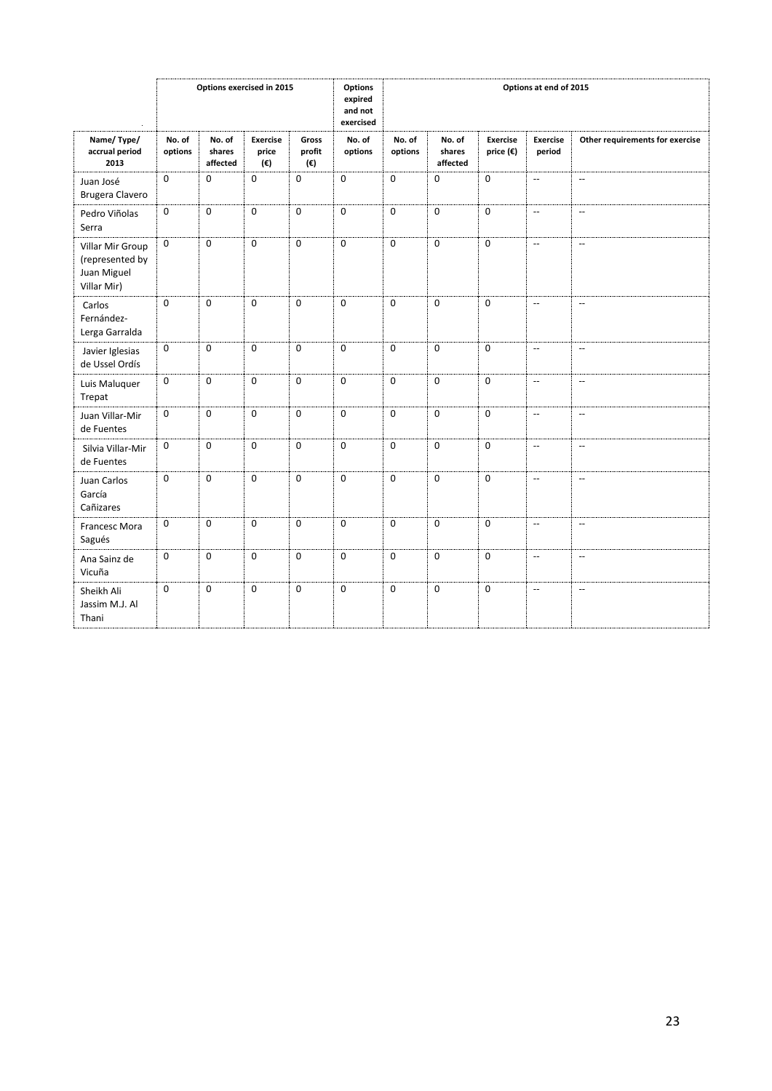|                                                                   |                   | Options exercised in 2015    |                                 |                        | Options<br>expired<br>and not<br>exercised | Options at end of 2015 |                              |                              |                           |                                 |
|-------------------------------------------------------------------|-------------------|------------------------------|---------------------------------|------------------------|--------------------------------------------|------------------------|------------------------------|------------------------------|---------------------------|---------------------------------|
| Name/Type/<br>accrual period<br>2013                              | No. of<br>options | No. of<br>shares<br>affected | <b>Exercise</b><br>price<br>(€) | Gross<br>profit<br>(€) | No. of<br>options                          | No. of<br>options      | No. of<br>shares<br>affected | <b>Exercise</b><br>price (€) | <b>Exercise</b><br>period | Other requirements for exercise |
| Juan José<br>Brugera Clavero                                      | $\mathbf 0$       | $\mathbf 0$                  | $\mathbf 0$                     | 0                      | $\mathbf 0$                                | $\mathbf 0$            | $\mathbf 0$                  | $\mathbf 0$                  | $\overline{a}$            | $\mathbf{u}$                    |
| Pedro Viñolas<br>Serra                                            | $\mathbf 0$       | $\mathbf 0$                  | $\mathbf 0$                     | $\mathbf 0$            | $\mathbf 0$                                | $\mathbf 0$            | $\mathbf 0$                  | $\mathbf 0$                  | $\overline{\phantom{a}}$  | $\overline{\phantom{a}}$        |
| Villar Mir Group<br>(represented by<br>Juan Miguel<br>Villar Mir) | $\mathbf 0$       | $\mathbf 0$                  | $\mathbf 0$                     | $\mathbf 0$            | $\mathbf 0$                                | $\mathbf 0$            | $\mathbf 0$                  | $\mathbf 0$                  | $\overline{\phantom{a}}$  | $\overline{\phantom{a}}$        |
| Carlos<br>Fernández-<br>Lerga Garralda                            | $\mathbf 0$       | $\mathbf 0$                  | $\mathbf 0$                     | $\mathbf 0$            | $\mathbf{0}$                               | $\mathbf 0$            | $\mathbf 0$                  | $\mathbf 0$                  | $\overline{\phantom{a}}$  | $\mathbf{u}$                    |
| Javier Iglesias<br>de Ussel Ordís                                 | 0                 | $\mathbf 0$                  | $\mathbf 0$                     | $\mathbf 0$            | $\mathbf 0$                                | $\mathbf 0$            | $\mathbf 0$                  | $\mathbf 0$                  | $\overline{\phantom{a}}$  | $\overline{\phantom{a}}$        |
| Luis Maluquer<br>Trepat                                           | $\mathbf 0$       | $\Omega$                     | $\Omega$                        | $\Omega$               | $\Omega$                                   | $\Omega$               | $\Omega$                     | $\Omega$                     | --                        | $\overline{\phantom{a}}$        |
| Juan Villar-Mir<br>de Fuentes                                     | $\mathbf 0$       | $\mathbf 0$                  | $\mathbf 0$                     | $\mathbf 0$            | $\mathbf 0$                                | $\mathbf 0$            | $\mathbf 0$                  | $\mathbf 0$                  | $\overline{\phantom{a}}$  | $\overline{\phantom{a}}$        |
| Silvia Villar-Mir<br>de Fuentes                                   | $\mathbf 0$       | $\mathbf 0$                  | $\mathbf 0$                     | $\mathbf 0$            | $\mathbf 0$                                | $\mathbf 0$            | $\mathbf 0$                  | $\mathbf 0$                  | $\overline{\phantom{a}}$  | $\overline{\phantom{a}}$        |
| Juan Carlos<br>García<br>Cañizares                                | 0                 | $\mathbf 0$                  | $\mathbf 0$                     | $\mathbf 0$            | $\mathbf 0$                                | $\mathbf 0$            | $\mathbf 0$                  | $\mathbf 0$                  | $\overline{\phantom{a}}$  | $\overline{\phantom{a}}$        |
| Francesc Mora<br>Sagués                                           | 0                 | $\mathbf 0$                  | $\mathbf 0$                     | $\mathbf 0$            | $\mathbf 0$                                | $\mathbf 0$            | $\mathbf 0$                  | $\mathbf 0$                  | <u>.,</u>                 | $\overline{\phantom{a}}$        |
| Ana Sainz de<br>Vicuña                                            | $\mathbf 0$       | $\mathbf 0$                  | $\mathbf 0$                     | $\mathbf 0$            | $\mathbf 0$                                | $\Omega$               | $\Omega$                     | $\Omega$                     | --                        | $\overline{\phantom{a}}$        |
| Sheikh Ali<br>Jassim M.J. Al<br>Thani                             | $\mathbf 0$       | $\mathbf 0$                  | $\mathbf 0$                     | $\mathbf 0$            | $\mathbf{0}$                               | $\mathbf 0$            | $\Omega$                     | $\mathbf 0$                  | $\overline{\phantom{a}}$  | $\overline{\phantom{a}}$        |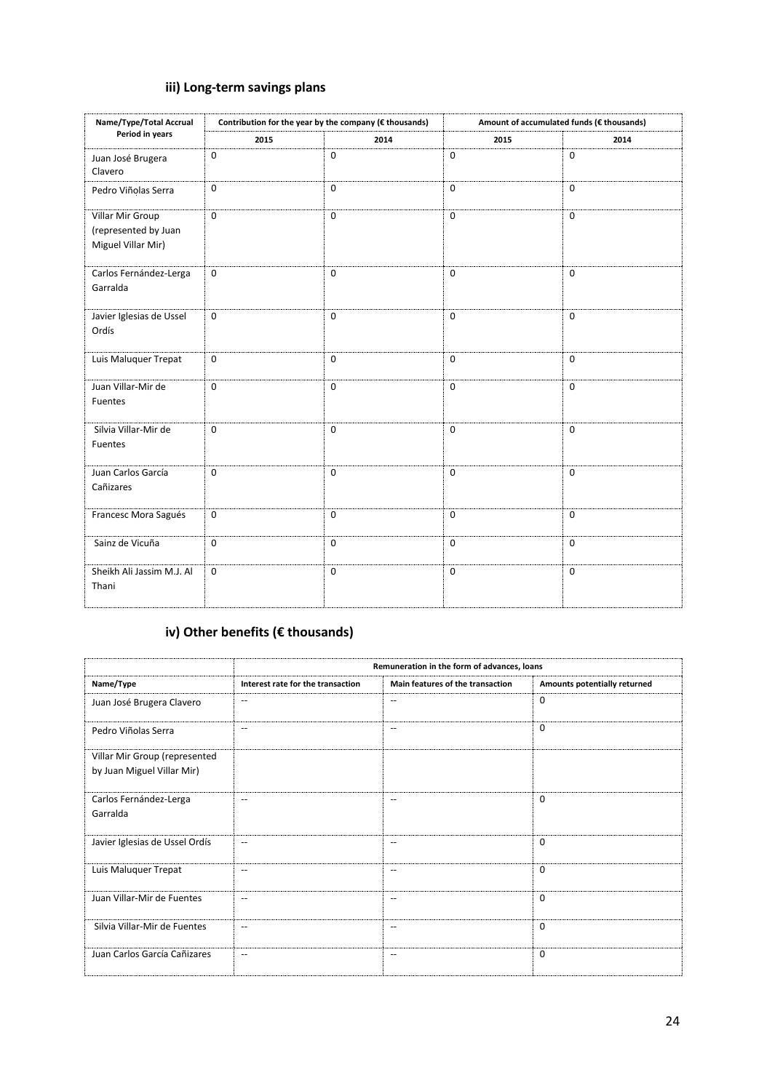# **iii) Long-term savings plans**

| Name/Type/Total Accrual                                        |             | Contribution for the year by the company (€ thousands) |              | Amount of accumulated funds (€ thousands) |  |  |  |
|----------------------------------------------------------------|-------------|--------------------------------------------------------|--------------|-------------------------------------------|--|--|--|
| Period in years                                                | 2015        | 2014                                                   | 2015         | 2014                                      |  |  |  |
| Juan José Brugera<br>Clavero                                   | $\mathbf 0$ | $\mathbf 0$                                            | $\mathbf 0$  | $\mathbf 0$                               |  |  |  |
| Pedro Viñolas Serra                                            | $\mathbf 0$ | $\mathbf 0$                                            | $\mathbf{0}$ | $\mathbf 0$                               |  |  |  |
| Villar Mir Group<br>(represented by Juan<br>Miguel Villar Mir) | $\mathbf 0$ | $\mathbf 0$                                            | $\mathbf 0$  | $\mathbf 0$                               |  |  |  |
| Carlos Fernández-Lerga<br>Garralda                             | $\mathbf 0$ | $\mathbf 0$                                            | $\mathbf 0$  | $\mathbf 0$                               |  |  |  |
| Javier Iglesias de Ussel<br>Ordís                              | $\mathbf 0$ | $\mathbf 0$                                            | $\mathbf 0$  | $\mathbf 0$                               |  |  |  |
| Luis Maluquer Trepat                                           | $\mathbf 0$ | $\mathbf 0$                                            | $\mathbf 0$  | $\mathbf 0$                               |  |  |  |
| Juan Villar-Mir de<br>Fuentes                                  | $\mathbf 0$ | $\mathbf 0$                                            | $\mathbf 0$  | $\mathbf 0$                               |  |  |  |
| Silvia Villar-Mir de<br>Fuentes                                | $\mathbf 0$ | $\mathbf 0$                                            | $\mathbf{0}$ | $\mathbf 0$                               |  |  |  |
| Juan Carlos García<br>Cañizares                                | $\mathbf 0$ | $\mathbf 0$                                            | $\mathbf 0$  | $\mathbf 0$                               |  |  |  |
| Francesc Mora Sagués                                           | $\mathbf 0$ | $\Omega$                                               | $\mathbf{0}$ | $\Omega$                                  |  |  |  |
| Sainz de Vicuña                                                | $\mathbf 0$ | $\mathbf{0}$                                           | $\mathbf 0$  | 0                                         |  |  |  |
| Sheikh Ali Jassim M.J. Al<br>Thani                             | $\mathbf 0$ | $\mathbf 0$                                            | $\mathbf 0$  | 0                                         |  |  |  |

# **iv) Other benefits (€ thousands)**

|                                                             | Remuneration in the form of advances, loans |                                  |                              |  |  |
|-------------------------------------------------------------|---------------------------------------------|----------------------------------|------------------------------|--|--|
| Name/Type                                                   | Interest rate for the transaction           | Main features of the transaction | Amounts potentially returned |  |  |
| Juan José Brugera Clavero                                   | $\overline{\phantom{m}}$                    | $\overline{\phantom{a}}$         | $\Omega$                     |  |  |
| Pedro Viñolas Serra                                         | --                                          | --                               | $\Omega$                     |  |  |
| Villar Mir Group (represented<br>by Juan Miguel Villar Mir) |                                             |                                  |                              |  |  |
| Carlos Fernández-Lerga<br>Garralda                          |                                             | $-$                              | $\mathbf 0$                  |  |  |
| Javier Iglesias de Ussel Ordís                              | $\qquad \qquad -$                           | $\hspace{0.05cm} -$              | $\mathbf 0$                  |  |  |
| Luis Maluquer Trepat                                        | $\qquad \qquad -$                           | $-$                              | $\Omega$                     |  |  |
| Juan Villar-Mir de Fuentes                                  | $-$                                         | $-$                              | $\Omega$                     |  |  |
| Silvia Villar-Mir de Fuentes                                | $\hspace{0.05cm} -$                         | $\hspace{0.05cm} -$              | $\mathbf 0$                  |  |  |
| Juan Carlos García Cañizares                                | --                                          | $\overline{\phantom{a}}$         | $\mathbf 0$                  |  |  |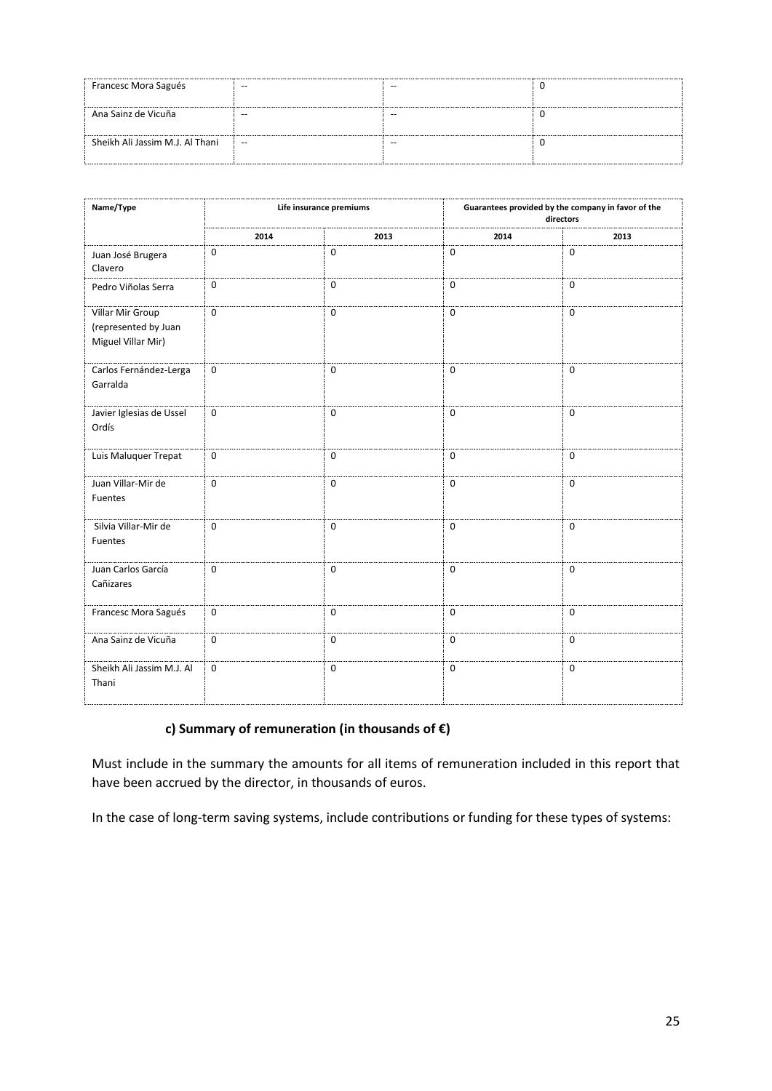| Francesc Mora Sagués            | $- -$ | $- -$ |  |
|---------------------------------|-------|-------|--|
| Ana Sainz de Vicuña             | $- -$ | --    |  |
| Sheikh Ali Jassim M.J. Al Thani | $-$   | --    |  |

| Name/Type                                                      |             | Life insurance premiums | Guarantees provided by the company in favor of the<br>directors |              |  |
|----------------------------------------------------------------|-------------|-------------------------|-----------------------------------------------------------------|--------------|--|
|                                                                | 2014        | 2013                    | 2014                                                            | 2013         |  |
| Juan José Brugera<br>Clavero                                   | $\mathbf 0$ | $\mathbf{0}$            | $\mathbf 0$                                                     | $\mathbf 0$  |  |
| Pedro Viñolas Serra                                            | $\mathbf 0$ | $\Omega$                | $\mathbf 0$                                                     | $\Omega$     |  |
| Villar Mir Group<br>(represented by Juan<br>Miguel Villar Mir) | $\Omega$    | $\Omega$                | $\mathbf 0$                                                     | $\mathbf 0$  |  |
| Carlos Fernández-Lerga<br>Garralda                             | $\mathbf 0$ | $\mathbf 0$             | $\mathbf 0$                                                     | $\mathbf 0$  |  |
| Javier Iglesias de Ussel<br>Ordís                              | $\mathbf 0$ | $\mathbf 0$             | $\mathbf 0$                                                     | $\mathbf 0$  |  |
| Luis Maluquer Trepat                                           | $\mathbf 0$ | $\mathbf{0}$            | $\mathbf 0$                                                     | $\mathbf 0$  |  |
| Juan Villar-Mir de<br>Fuentes                                  | $\mathbf 0$ | $\mathbf{0}$            | $\mathbf 0$                                                     | $\mathbf 0$  |  |
| Silvia Villar-Mir de<br>Fuentes                                | $\mathbf 0$ | $\mathbf 0$             | $\mathbf 0$                                                     | $\mathbf{0}$ |  |
| Juan Carlos García<br>Cañizares                                | $\mathbf 0$ | $\mathbf 0$             | $\mathbf 0$                                                     | $\mathbf{0}$ |  |
| Francesc Mora Sagués                                           | $\mathbf 0$ | $\mathbf 0$             | $\mathbf 0$                                                     | $\mathbf 0$  |  |
| Ana Sainz de Vicuña                                            | $\mathbf 0$ | $\mathbf 0$             | $\mathbf 0$                                                     | $\mathbf 0$  |  |
| Sheikh Ali Jassim M.J. Al<br>Thani                             | $\mathbf 0$ | $\mathbf 0$             | $\mathbf 0$                                                     | $\mathbf 0$  |  |

## **c) Summary of remuneration (in thousands of €)**

Must include in the summary the amounts for all items of remuneration included in this report that have been accrued by the director, in thousands of euros.

In the case of long-term saving systems, include contributions or funding for these types of systems: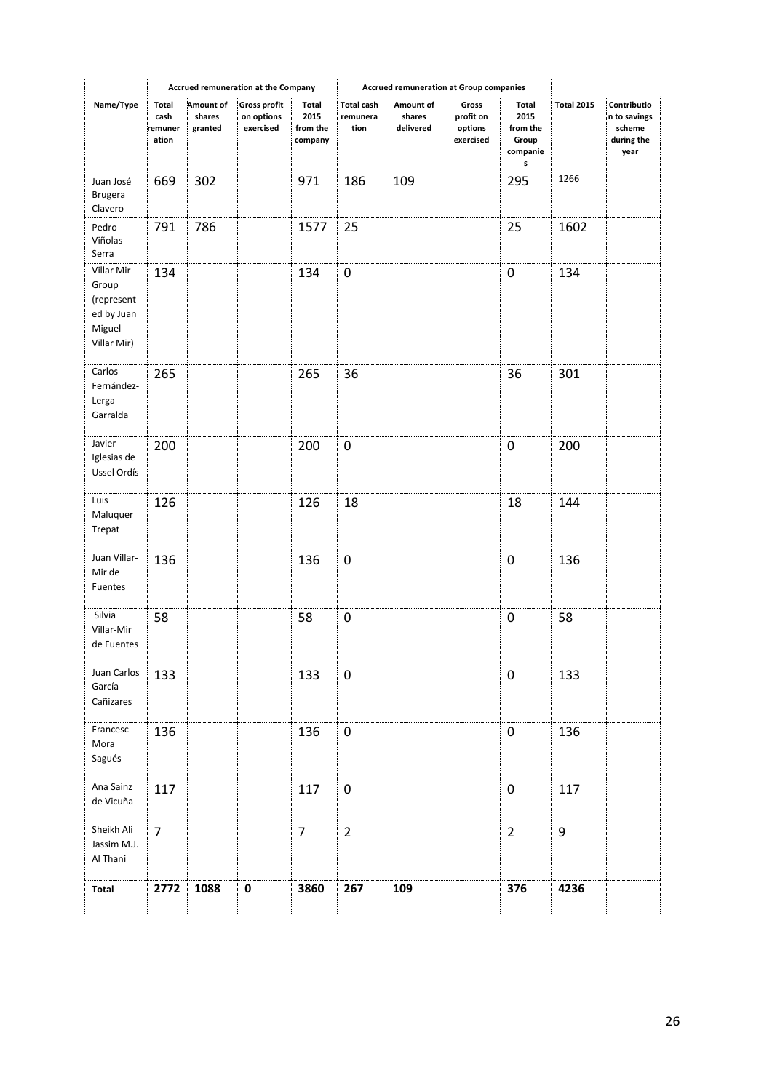|                                                                          |                                   |                                | Accrued remuneration at the Company            |                                      |                                       | <b>Accrued remuneration at Group companies</b> |                                            |                                                     |                   |                                                             |
|--------------------------------------------------------------------------|-----------------------------------|--------------------------------|------------------------------------------------|--------------------------------------|---------------------------------------|------------------------------------------------|--------------------------------------------|-----------------------------------------------------|-------------------|-------------------------------------------------------------|
| Name/Type                                                                | Total<br>cash<br>remuner<br>ation | Amount of<br>shares<br>granted | <b>Gross profit</b><br>on options<br>exercised | Total<br>2015<br>from the<br>company | <b>Total cash</b><br>remunera<br>tion | Amount of<br>shares<br>delivered               | Gross<br>profit on<br>options<br>exercised | Total<br>2015<br>from the<br>Group<br>companie<br>s | <b>Total 2015</b> | Contributio<br>n to savings<br>scheme<br>during the<br>year |
| Juan José<br><b>Brugera</b><br>Clavero                                   | 669                               | 302                            |                                                | 971                                  | 186                                   | 109                                            |                                            | 295                                                 | 1266              |                                                             |
| Pedro<br>Viñolas<br>Serra                                                | 791                               | 786                            |                                                | 1577                                 | 25                                    |                                                |                                            | 25                                                  | 1602              |                                                             |
| Villar Mir<br>Group<br>(represent<br>ed by Juan<br>Miguel<br>Villar Mir) | 134                               |                                |                                                | 134                                  | $\pmb{0}$                             |                                                |                                            | 0                                                   | 134               |                                                             |
| Carlos<br>Fernández-<br>Lerga<br>Garralda                                | 265                               |                                |                                                | 265                                  | 36                                    |                                                |                                            | 36                                                  | 301               |                                                             |
| Javier<br>Iglesias de<br>Ussel Ordís                                     | 200                               |                                |                                                | 200                                  | 0                                     |                                                |                                            | 0                                                   | 200               |                                                             |
| Luis<br>Maluquer<br>Trepat                                               | 126                               |                                |                                                | 126                                  | 18                                    |                                                |                                            | 18                                                  | 144               |                                                             |
| Juan Villar-<br>Mir de<br>Fuentes                                        | 136                               |                                |                                                | 136                                  | 0                                     |                                                |                                            | 0                                                   | 136               |                                                             |
| Silvia<br>Villar-Mir<br>de Fuentes                                       | 58                                |                                |                                                | 58                                   | $\pmb{0}$                             |                                                |                                            | 0                                                   | 58                |                                                             |
| Juan Carlos<br>García<br>Cañizares                                       | 133                               |                                |                                                | 133                                  | $\pmb{0}$                             |                                                |                                            | 0                                                   | 133               |                                                             |
| Francesc<br>Mora<br>Sagués                                               | 136                               |                                |                                                | 136                                  | $\pmb{0}$                             |                                                |                                            | $\mathbf 0$                                         | 136               |                                                             |
| Ana Sainz<br>de Vicuña                                                   | 117                               |                                |                                                | 117                                  | 0                                     |                                                |                                            | $\mathbf 0$                                         | 117               |                                                             |
| Sheikh Ali<br>Jassim M.J.<br>Al Thani                                    | $\overline{7}$                    |                                |                                                | $\overline{7}$                       | $\overline{2}$                        |                                                |                                            | $\overline{2}$                                      | 9                 |                                                             |
| Total                                                                    | 2772                              | 1088                           | $\pmb{0}$                                      | 3860                                 | 267                                   | 109                                            |                                            | 376                                                 | 4236              |                                                             |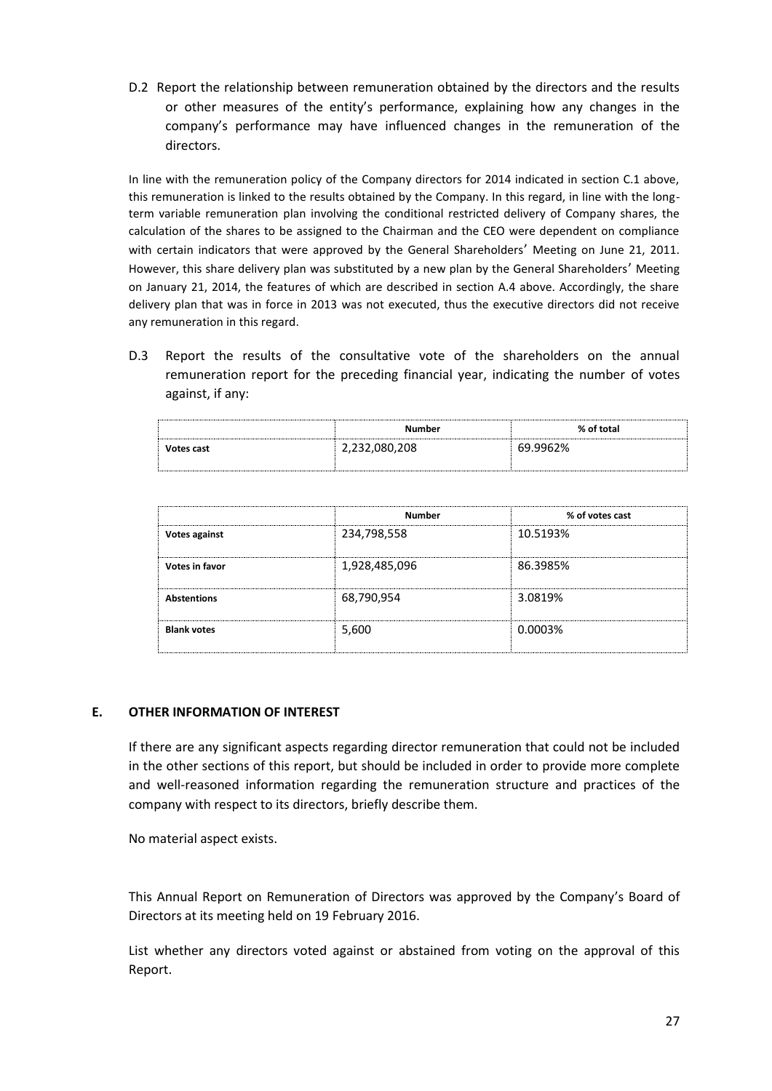D.2 Report the relationship between remuneration obtained by the directors and the results or other measures of the entity's performance, explaining how any changes in the company's performance may have influenced changes in the remuneration of the directors.

In line with the remuneration policy of the Company directors for 2014 indicated in section C.1 above, this remuneration is linked to the results obtained by the Company. In this regard, in line with the longterm variable remuneration plan involving the conditional restricted delivery of Company shares, the calculation of the shares to be assigned to the Chairman and the CEO were dependent on compliance with certain indicators that were approved by the General Shareholders' Meeting on June 21, 2011. However, this share delivery plan was substituted by a new plan by the General Shareholders' Meeting on January 21, 2014, the features of which are described in section A.4 above. Accordingly, the share delivery plan that was in force in 2013 was not executed, thus the executive directors did not receive any remuneration in this regard.

D.3 Report the results of the consultative vote of the shareholders on the annual remuneration report for the preceding financial year, indicating the number of votes against, if any:

|            | Number        | % of total |  |
|------------|---------------|------------|--|
| Votes cast | 2,232,080,208 | 69.9962%   |  |
|            |               |            |  |

|                    | <b>Number</b> | % of votes cast |  |  |
|--------------------|---------------|-----------------|--|--|
| Votes against      | 234,798,558   | 10.5193%        |  |  |
| Votes in favor     | 1,928,485,096 | 86.3985%        |  |  |
| <b>Abstentions</b> | 68,790,954    | 3.0819%         |  |  |
| <b>Blank votes</b> | 5,600         | 0.0003%         |  |  |

## **E. OTHER INFORMATION OF INTEREST**

If there are any significant aspects regarding director remuneration that could not be included in the other sections of this report, but should be included in order to provide more complete and well-reasoned information regarding the remuneration structure and practices of the company with respect to its directors, briefly describe them.

No material aspect exists.

This Annual Report on Remuneration of Directors was approved by the Company's Board of Directors at its meeting held on 19 February 2016.

List whether any directors voted against or abstained from voting on the approval of this Report.